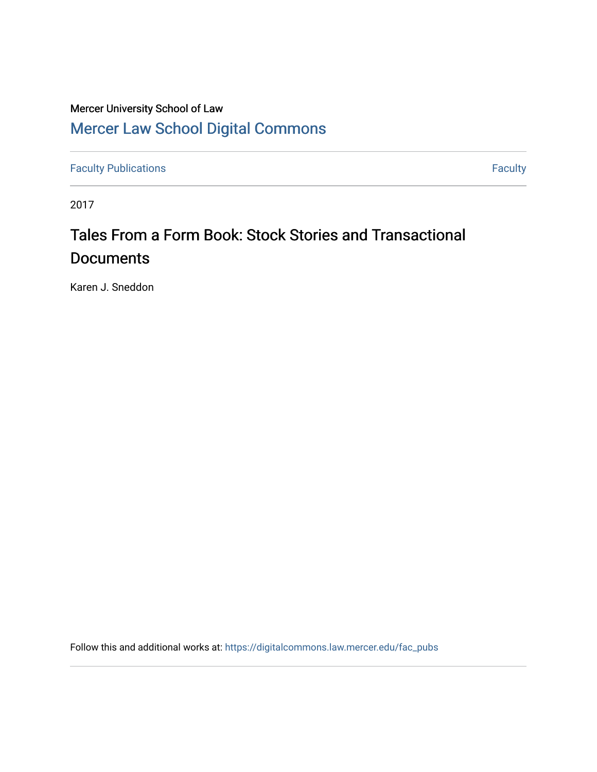# Mercer University School of Law [Mercer Law School Digital Commons](https://digitalcommons.law.mercer.edu/)

[Faculty Publications](https://digitalcommons.law.mercer.edu/fac_pubs) **Faculty Faculty Faculty** 

2017

# Tales From a Form Book: Stock Stories and Transactional **Documents**

Karen J. Sneddon

Follow this and additional works at: [https://digitalcommons.law.mercer.edu/fac\\_pubs](https://digitalcommons.law.mercer.edu/fac_pubs?utm_source=digitalcommons.law.mercer.edu%2Ffac_pubs%2F63&utm_medium=PDF&utm_campaign=PDFCoverPages)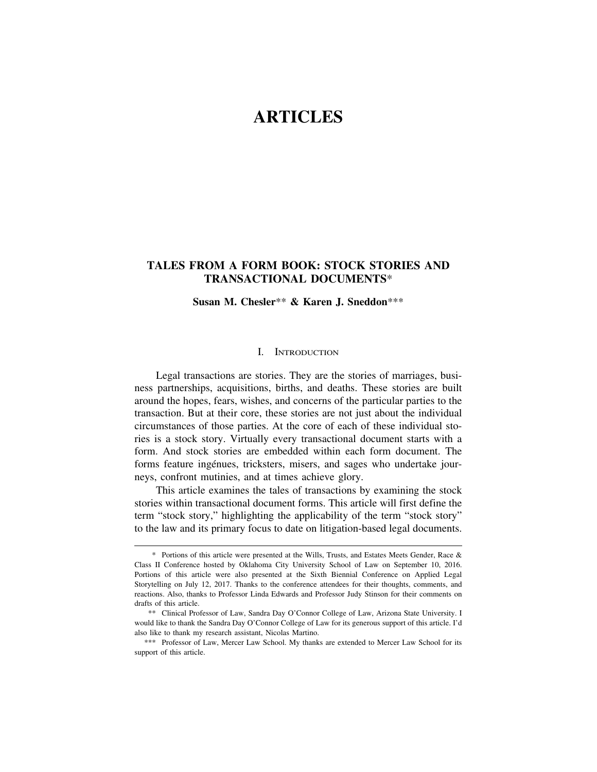# **ARTICLES**

# **TALES FROM A FORM BOOK: STOCK STORIES AND TRANSACTIONAL DOCUMENTS**\*

**Susan M. Chesler**\*\* **& Karen J. Sneddon**\*\*\*

#### I. INTRODUCTION

Legal transactions are stories. They are the stories of marriages, business partnerships, acquisitions, births, and deaths. These stories are built around the hopes, fears, wishes, and concerns of the particular parties to the transaction. But at their core, these stories are not just about the individual circumstances of those parties. At the core of each of these individual stories is a stock story. Virtually every transactional document starts with a form. And stock stories are embedded within each form document. The forms feature ingénues, tricksters, misers, and sages who undertake journeys, confront mutinies, and at times achieve glory.

This article examines the tales of transactions by examining the stock stories within transactional document forms. This article will first define the term "stock story," highlighting the applicability of the term "stock story" to the law and its primary focus to date on litigation-based legal documents.

<sup>\*</sup> Portions of this article were presented at the Wills, Trusts, and Estates Meets Gender, Race & Class II Conference hosted by Oklahoma City University School of Law on September 10, 2016. Portions of this article were also presented at the Sixth Biennial Conference on Applied Legal Storytelling on July 12, 2017. Thanks to the conference attendees for their thoughts, comments, and reactions. Also, thanks to Professor Linda Edwards and Professor Judy Stinson for their comments on drafts of this article.

<sup>\*\*</sup> Clinical Professor of Law, Sandra Day O'Connor College of Law, Arizona State University. I would like to thank the Sandra Day O'Connor College of Law for its generous support of this article. I'd also like to thank my research assistant, Nicolas Martino.

<sup>\*\*\*</sup> Professor of Law, Mercer Law School. My thanks are extended to Mercer Law School for its support of this article.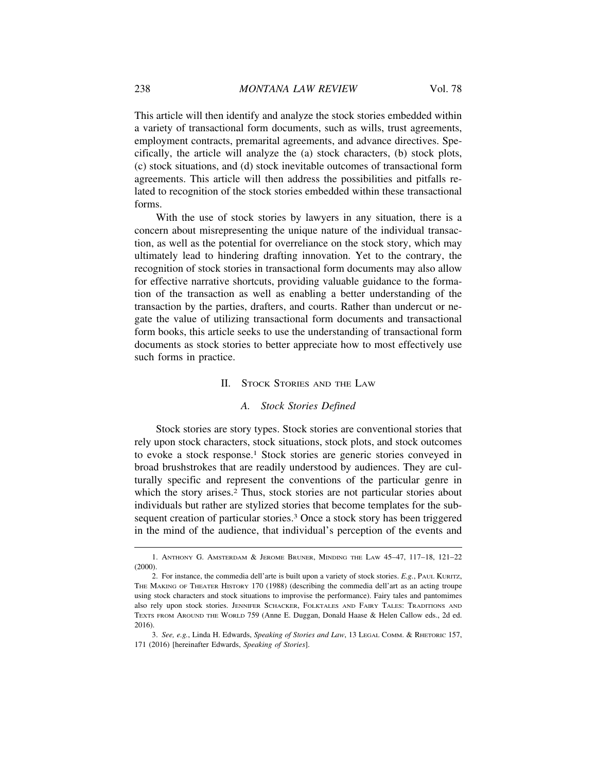This article will then identify and analyze the stock stories embedded within a variety of transactional form documents, such as wills, trust agreements, employment contracts, premarital agreements, and advance directives. Specifically, the article will analyze the (a) stock characters, (b) stock plots, (c) stock situations, and (d) stock inevitable outcomes of transactional form agreements. This article will then address the possibilities and pitfalls related to recognition of the stock stories embedded within these transactional forms.

With the use of stock stories by lawyers in any situation, there is a concern about misrepresenting the unique nature of the individual transaction, as well as the potential for overreliance on the stock story, which may ultimately lead to hindering drafting innovation. Yet to the contrary, the recognition of stock stories in transactional form documents may also allow for effective narrative shortcuts, providing valuable guidance to the formation of the transaction as well as enabling a better understanding of the transaction by the parties, drafters, and courts. Rather than undercut or negate the value of utilizing transactional form documents and transactional form books, this article seeks to use the understanding of transactional form documents as stock stories to better appreciate how to most effectively use such forms in practice.

#### II. STOCK STORIES AND THE LAW

#### *A. Stock Stories Defined*

Stock stories are story types. Stock stories are conventional stories that rely upon stock characters, stock situations, stock plots, and stock outcomes to evoke a stock response.1 Stock stories are generic stories conveyed in broad brushstrokes that are readily understood by audiences. They are culturally specific and represent the conventions of the particular genre in which the story arises.<sup>2</sup> Thus, stock stories are not particular stories about individuals but rather are stylized stories that become templates for the subsequent creation of particular stories.<sup>3</sup> Once a stock story has been triggered in the mind of the audience, that individual's perception of the events and

<sup>1.</sup> ANTHONY G. AMSTERDAM & JEROME BRUNER, MINDING THE LAW 45–47, 117–18, 121–22 (2000).

<sup>2.</sup> For instance, the commedia dell'arte is built upon a variety of stock stories. *E.g.*, PAUL KURITZ, THE MAKING OF THEATER HISTORY 170 (1988) (describing the commedia dell'art as an acting troupe using stock characters and stock situations to improvise the performance). Fairy tales and pantomimes also rely upon stock stories. JENNIFER SCHACKER, FOLKTALES AND FAIRY TALES: TRADITIONS AND TEXTS FROM AROUND THE WORLD 759 (Anne E. Duggan, Donald Haase & Helen Callow eds., 2d ed. 2016).

<sup>3.</sup> *See, e.g.*, Linda H. Edwards, *Speaking of Stories and Law*, 13 LEGAL COMM. & RHETORIC 157, 171 (2016) [hereinafter Edwards, *Speaking of Stories*].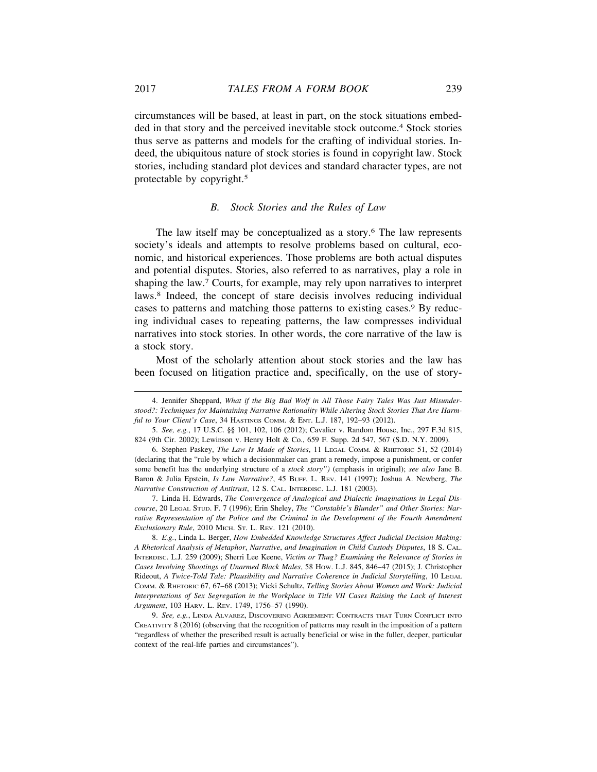circumstances will be based, at least in part, on the stock situations embedded in that story and the perceived inevitable stock outcome.4 Stock stories thus serve as patterns and models for the crafting of individual stories. Indeed, the ubiquitous nature of stock stories is found in copyright law. Stock stories, including standard plot devices and standard character types, are not protectable by copyright.5

# *B. Stock Stories and the Rules of Law*

The law itself may be conceptualized as a story.<sup>6</sup> The law represents society's ideals and attempts to resolve problems based on cultural, economic, and historical experiences. Those problems are both actual disputes and potential disputes. Stories, also referred to as narratives, play a role in shaping the law.7 Courts, for example, may rely upon narratives to interpret laws.8 Indeed, the concept of stare decisis involves reducing individual cases to patterns and matching those patterns to existing cases.9 By reducing individual cases to repeating patterns, the law compresses individual narratives into stock stories. In other words, the core narrative of the law is a stock story.

Most of the scholarly attention about stock stories and the law has been focused on litigation practice and, specifically, on the use of story-

<sup>4.</sup> Jennifer Sheppard, *What if the Big Bad Wolf in All Those Fairy Tales Was Just Misunderstood?: Techniques for Maintaining Narrative Rationality While Altering Stock Stories That Are Harmful to Your Client's Case*, 34 HASTINGS COMM. & ENT. L.J. 187, 192–93 (2012).

<sup>5.</sup> *See, e.g.*, 17 U.S.C. §§ 101, 102, 106 (2012); Cavalier v. Random House, Inc., 297 F.3d 815, 824 (9th Cir. 2002); Lewinson v. Henry Holt & Co., 659 F. Supp. 2d 547, 567 (S.D. N.Y. 2009).

<sup>6.</sup> Stephen Paskey, *The Law Is Made of Stories*, 11 LEGAL COMM. & RHETORIC 51, 52 (2014) (declaring that the "rule by which a decisionmaker can grant a remedy, impose a punishment, or confer some benefit has the underlying structure of a *stock story")* (emphasis in original); *see also* Jane B. Baron & Julia Epstein, *Is Law Narrative?*, 45 BUFF. L. REV. 141 (1997); Joshua A. Newberg, *The Narrative Construction of Antitrust*, 12 S. CAL. INTERDISC. L.J. 181 (2003).

<sup>7.</sup> Linda H. Edwards, *The Convergence of Analogical and Dialectic Imaginations in Legal Discourse*, 20 LEGAL STUD. F. 7 (1996); Erin Sheley, *The "Constable's Blunder" and Other Stories: Narrative Representation of the Police and the Criminal in the Development of the Fourth Amendment Exclusionary Rule*, 2010 MICH. ST. L. REV. 121 (2010).

<sup>8.</sup> *E.g.*, Linda L. Berger, *How Embedded Knowledge Structures Affect Judicial Decision Making: A Rhetorical Analysis of Metaphor*, *Narrative*, *and Imagination in Child Custody Disputes*, 18 S. CAL. INTERDISC. L.J. 259 (2009); Sherri Lee Keene, *Victim or Thug? Examining the Relevance of Stories in Cases Involving Shootings of Unarmed Black Males*, 58 HOW. L.J. 845, 846–47 (2015); J. Christopher Rideout, *A Twice-Told Tale: Plausibility and Narrative Coherence in Judicial Storytelling*, 10 LEGAL COMM. & RHETORIC 67, 67–68 (2013); Vicki Schultz, *Telling Stories About Women and Work: Judicial Interpretations of Sex Segregation in the Workplace in Title VII Cases Raising the Lack of Interest Argument*, 103 HARV. L. REV. 1749, 1756–57 (1990).

<sup>9.</sup> *See, e.g.*, LINDA ALVAREZ, DISCOVERING AGREEMENT: CONTRACTS THAT TURN CONFLICT INTO CREATIVITY 8 (2016) (observing that the recognition of patterns may result in the imposition of a pattern "regardless of whether the prescribed result is actually beneficial or wise in the fuller, deeper, particular context of the real-life parties and circumstances").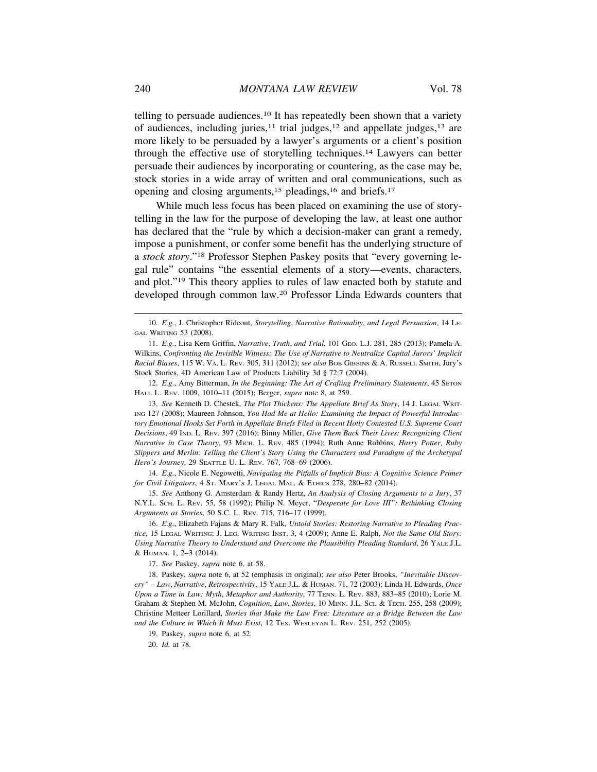telling to persuade audiences.10 It has repeatedly been shown that a variety of audiences, including juries, $11$  trial judges, $12$  and appellate judges, $13$  are more likely to be persuaded by a lawyer's arguments or a client's position through the effective use of storytelling techniques.14 Lawyers can better persuade their audiences by incorporating or countering, as the case may be, stock stories in a wide array of written and oral communications, such as opening and closing arguments,<sup>15</sup> pleadings,<sup>16</sup> and briefs.<sup>17</sup>

While much less focus has been placed on examining the use of storytelling in the law for the purpose of developing the law, at least one author has declared that the "rule by which a decision-maker can grant a remedy, impose a punishment, or confer some benefit has the underlying structure of a *stock story*."18 Professor Stephen Paskey posits that "every governing legal rule" contains "the essential elements of a story—events, characters, and plot."19 This theory applies to rules of law enacted both by statute and developed through common law.20 Professor Linda Edwards counters that

12. *E.g.*, Amy Bitterman, *In the Beginning: The Art of Crafting Preliminary Statements*, 45 SETON HALL L. REV. 1009, 1010–11 (2015); Berger, *supra* note 8, at 259.

13. *See* Kenneth D. Chestek, *The Plot Thickens: The Appellate Brief As Story*, 14 J. LEGAL WRIT-ING 127 (2008); Maureen Johnson, *You Had Me at Hello: Examining the Impact of Powerful Introductory Emotional Hooks Set Forth in Appellate Briefs Filed in Recent Hotly Contested U.S. Supreme Court Decisions*, 49 IND. L. REV. 397 (2016); Binny Miller, *Give Them Back Their Lives: Recognizing Client Narrative in Case Theory*, 93 MICH. L. REV. 485 (1994); Ruth Anne Robbins, *Harry Potter*, *Ruby Slippers and Merlin: Telling the Client's Story Using the Characters and Paradigm of the Archetypal Hero's Journey*, 29 SEATTLE U. L. REV. 767, 768–69 (2006).

14. *E.g.*, Nicole E. Negowetti, *Navigating the Pitfalls of Implicit Bias: A Cognitive Science Primer for Civil Litigators*, 4 ST. MARY'S J. LEGAL MAL. & ETHICS 278, 280–82 (2014).

15. *See* Anthony G. Amsterdam & Randy Hertz, *An Analysis of Closing Arguments to a Jury*, 37 N.Y.L. SCH. L. REV. 55, 58 (1992); Philip N. Meyer, "*Desperate for Love III": Rethinking Closing Arguments as Stories*, 50 S.C. L. REV. 715, 716–17 (1999).

16. *E.g.*, Elizabeth Fajans & Mary R. Falk, *Untold Stories: Restoring Narrative to Pleading Practice*, 15 LEGAL WRITING: J. LEG. WRITING INST. 3, 4 (2009); Anne E. Ralph, *Not the Same Old Story: Using Narrative Theory to Understand and Overcome the Plausibility Pleading Standard*, 26 YALE J.L. & HUMAN. 1, 2–3 (2014).

17. *See* Paskey, *supra* note 6, at 58.

18. Paskey, *supra* note 6, at 52 (emphasis in original); *see also* Peter Brooks, *"Inevitable Discovery" – Law*, *Narrative*, *Retrospectivity*, 15 YALE J.L. & HUMAN. 71, 72 (2003); Linda H. Edwards, *Once Upon a Time in Law: Myth*, *Metaphor and Authority*, 77 TENN. L. REV. 883, 883–85 (2010); Lorie M. Graham & Stephen M. McJohn, *Cognition*, *Law*, *Stories*, 10 MINN. J.L. SCI. & TECH. 255, 258 (2009); Christine Metteer Lorillard, *Stories that Make the Law Free: Literature as a Bridge Between the Law and the Culture in Which It Must Exist*, 12 TEX. WESLEYAN L. REV. 251, 252 (2005).

<sup>10.</sup> *E.g.*, J. Christopher Rideout, *Storytelling*, *Narrative Rationality*, *and Legal Persuasion*, 14 LE-GAL WRITING 53 (2008).

<sup>11.</sup> *E.g.*, Lisa Kern Griffin, *Narrative*, *Truth*, *and Trial*, 101 GEO. L.J. 281, 285 (2013); Pamela A. Wilkins, *Confronting the Invisible Witness: The Use of Narrative to Neutralize Capital Jurors' Implicit Racial Biases*, 115 W. VA. L. REV. 305, 311 (2012); *see also* BOB GIBBINS & A. RUSSELL SMITH, Jury's Stock Stories, 4D American Law of Products Liability 3d § 72:7 (2004).

<sup>19.</sup> Paskey, *supra* note 6, at 52.

<sup>20.</sup> *Id.* at 78.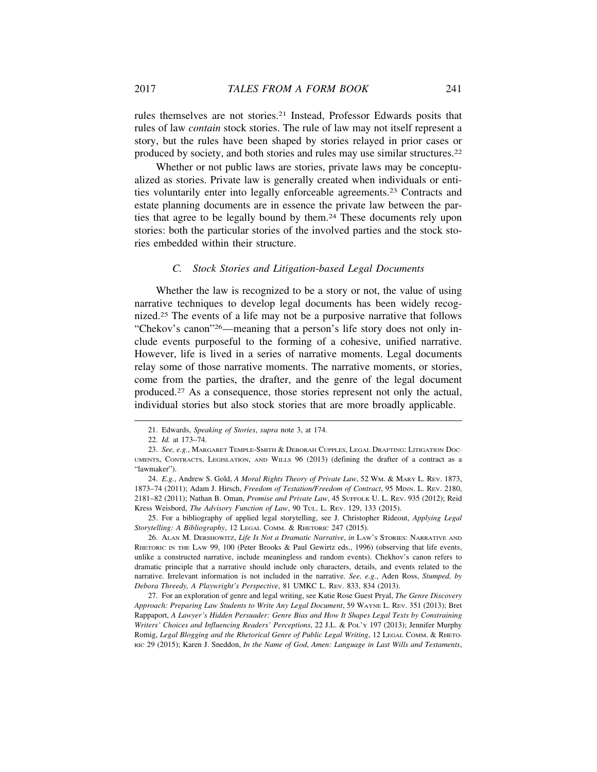rules themselves are not stories.21 Instead, Professor Edwards posits that rules of law *contain* stock stories. The rule of law may not itself represent a story, but the rules have been shaped by stories relayed in prior cases or produced by society, and both stories and rules may use similar structures.22

Whether or not public laws are stories, private laws may be conceptualized as stories. Private law is generally created when individuals or entities voluntarily enter into legally enforceable agreements.23 Contracts and estate planning documents are in essence the private law between the parties that agree to be legally bound by them.24 These documents rely upon stories: both the particular stories of the involved parties and the stock stories embedded within their structure.

# *C. Stock Stories and Litigation-based Legal Documents*

Whether the law is recognized to be a story or not, the value of using narrative techniques to develop legal documents has been widely recognized.25 The events of a life may not be a purposive narrative that follows "Chekov's canon"26—meaning that a person's life story does not only include events purposeful to the forming of a cohesive, unified narrative. However, life is lived in a series of narrative moments. Legal documents relay some of those narrative moments. The narrative moments, or stories, come from the parties, the drafter, and the genre of the legal document produced.27 As a consequence, those stories represent not only the actual, individual stories but also stock stories that are more broadly applicable.

<sup>21.</sup> Edwards, *Speaking of Stories*, *supra* note 3, at 174.

<sup>22.</sup> *Id.* at 173–74.

<sup>23.</sup> *See, e.g.*, MARGARET TEMPLE-SMITH & DEBORAH CUPPLES, LEGAL DRAFTING: LITIGATION DOC-UMENTS, CONTRACTS, LEGISLATION, AND WILLS 96 (2013) (defining the drafter of a contract as a "lawmaker").

<sup>24.</sup> *E.g.*, Andrew S. Gold, *A Moral Rights Theory of Private Law*, 52 WM. & MARY L. REV. 1873, 1873–74 (2011); Adam J. Hirsch, *Freedom of Testation/Freedom of Contract*, 95 MINN. L. REV. 2180, 2181–82 (2011); Nathan B. Oman, *Promise and Private Law*, 45 SUFFOLK U. L. REV. 935 (2012); Reid Kress Weisbord, *The Advisory Function of Law*, 90 TUL. L. REV. 129, 133 (2015).

<sup>25.</sup> For a bibliography of applied legal storytelling, see J. Christopher Rideout, *Applying Legal Storytelling: A Bibliography*, 12 LEGAL COMM. & RHETORIC 247 (2015).

<sup>26.</sup> ALAN M. DERSHOWITZ, *Life Is Not a Dramatic Narrative*, *in* LAW'S STORIES: NARRATIVE AND RHETORIC IN THE LAW 99, 100 (Peter Brooks & Paul Gewirtz eds., 1996) (observing that life events, unlike a constructed narrative, include meaningless and random events). Chekhov's canon refers to dramatic principle that a narrative should include only characters, details, and events related to the narrative. Irrelevant information is not included in the narrative. *See, e.g.*, Aden Ross, *Stumped, by Debora Threedy, A Playwright's Perspective*, 81 UMKC L. REV. 833, 834 (2013).

<sup>27.</sup> For an exploration of genre and legal writing, see Katie Rose Guest Pryal, *The Genre Discovery Approach: Preparing Law Students to Write Any Legal Document*, 59 WAYNE L. REV. 351 (2013); Bret Rappaport, *A Lawyer's Hidden Persuader: Genre Bias and How It Shapes Legal Texts by Constraining Writers' Choices and Influencing Readers' Perceptions*, 22 J.L. & POL'Y 197 (2013); Jennifer Murphy Romig, *Legal Blogging and the Rhetorical Genre of Public Legal Writing*, 12 LEGAL COMM. & RHETO-RIC 29 (2015); Karen J. Sneddon, *In the Name of God*, *Amen: Language in Last Wills and Testaments*,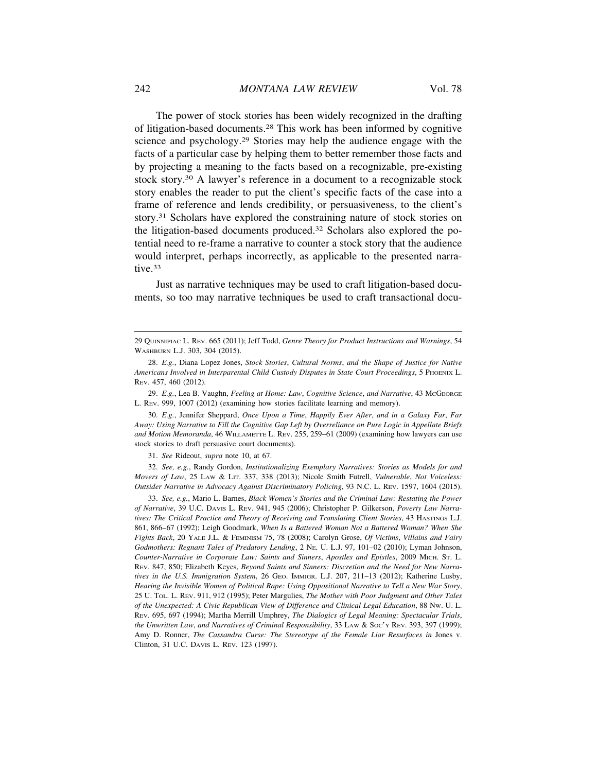The power of stock stories has been widely recognized in the drafting of litigation-based documents.28 This work has been informed by cognitive science and psychology.29 Stories may help the audience engage with the facts of a particular case by helping them to better remember those facts and by projecting a meaning to the facts based on a recognizable, pre-existing stock story.30 A lawyer's reference in a document to a recognizable stock story enables the reader to put the client's specific facts of the case into a frame of reference and lends credibility, or persuasiveness, to the client's story.31 Scholars have explored the constraining nature of stock stories on the litigation-based documents produced.32 Scholars also explored the potential need to re-frame a narrative to counter a stock story that the audience would interpret, perhaps incorrectly, as applicable to the presented narrative.<sup>33</sup>

Just as narrative techniques may be used to craft litigation-based documents, so too may narrative techniques be used to craft transactional docu-

29. *E.g.*, Lea B. Vaughn, *Feeling at Home: Law*, *Cognitive Science*, *and Narrative*, 43 MCGEORGE L. REV. 999, 1007 (2012) (examining how stories facilitate learning and memory).

30. *E.g.*, Jennifer Sheppard, *Once Upon a Time*, *Happily Ever After*, *and in a Galaxy Far*, *Far Away: Using Narrative to Fill the Cognitive Gap Left by Overreliance on Pure Logic in Appellate Briefs and Motion Memoranda*, 46 WILLAMETTE L. REV. 255, 259–61 (2009) (examining how lawyers can use stock stories to draft persuasive court documents).

31. *See* Rideout, *supra* note 10, at 67.

32. *See, e.g.*, Randy Gordon, *Institutionalizing Exemplary Narratives: Stories as Models for and Movers of Law*, 25 LAW & LIT. 337, 338 (2013); Nicole Smith Futrell, *Vulnerable*, *Not Voiceless: Outsider Narrative in Advocacy Against Discriminatory Policing*, 93 N.C. L. REV. 1597, 1604 (2015).

33. *See, e.g.*, Mario L. Barnes, *Black Women's Stories and the Criminal Law: Restating the Power of Narrative*, 39 U.C. DAVIS L. REV. 941, 945 (2006); Christopher P. Gilkerson, *Poverty Law Narratives: The Critical Practice and Theory of Receiving and Translating Client Stories*, 43 HASTINGS L.J. 861, 866–67 (1992); Leigh Goodmark, *When Is a Battered Woman Not a Battered Woman? When She Fights Back*, 20 YALE J.L. & FEMINISM 75, 78 (2008); Carolyn Grose, *Of Victims*, *Villains and Fairy Godmothers: Regnant Tales of Predatory Lending*, 2 NE. U. L.J. 97, 101–02 (2010); Lyman Johnson, *Counter-Narrative in Corporate Law: Saints and Sinners*, *Apostles and Epistles*, 2009 MICH. ST. L. REV. 847, 850; Elizabeth Keyes, *Beyond Saints and Sinners: Discretion and the Need for New Narratives in the U.S. Immigration System*, 26 GEO. IMMIGR. L.J. 207, 211–13 (2012); Katherine Lusby, *Hearing the Invisible Women of Political Rape: Using Oppositional Narrative to Tell a New War Story*, 25 U. TOL. L. REV. 911, 912 (1995); Peter Margulies, *The Mother with Poor Judgment and Other Tales of the Unexpected: A Civic Republican View of Difference and Clinical Legal Education*, 88 NW. U. L. REV. 695, 697 (1994); Martha Merrill Umphrey, *The Dialogics of Legal Meaning: Spectacular Trials*, *the Unwritten Law*, *and Narratives of Criminal Responsibility*, 33 LAW & SOC'Y REV. 393, 397 (1999); Amy D. Ronner, *The Cassandra Curse: The Stereotype of the Female Liar Resurfaces in* Jones v. Clinton, 31 U.C. DAVIS L. REV. 123 (1997).

<sup>29</sup> QUINNIPIAC L. REV. 665 (2011); Jeff Todd, *Genre Theory for Product Instructions and Warnings*, 54 WASHBURN L.J. 303, 304 (2015).

<sup>28.</sup> *E.g.*, Diana Lopez Jones, *Stock Stories*, *Cultural Norms*, *and the Shape of Justice for Native Americans Involved in Interparental Child Custody Disputes in State Court Proceedings*, 5 PHOENIX L. REV. 457, 460 (2012).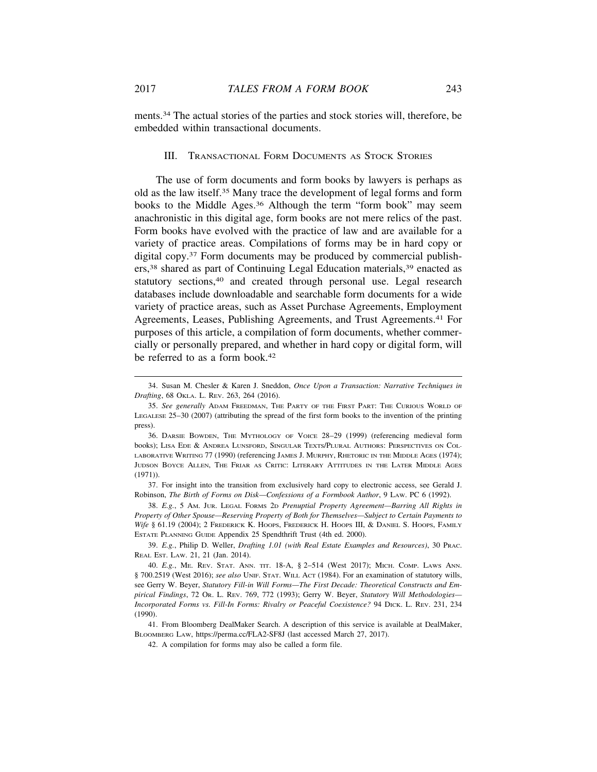ments.34 The actual stories of the parties and stock stories will, therefore, be embedded within transactional documents.

# III. TRANSACTIONAL FORM DOCUMENTS AS STOCK STORIES

The use of form documents and form books by lawyers is perhaps as old as the law itself.35 Many trace the development of legal forms and form books to the Middle Ages.36 Although the term "form book" may seem anachronistic in this digital age, form books are not mere relics of the past. Form books have evolved with the practice of law and are available for a variety of practice areas. Compilations of forms may be in hard copy or digital copy.37 Form documents may be produced by commercial publishers,38 shared as part of Continuing Legal Education materials,39 enacted as statutory sections,<sup>40</sup> and created through personal use. Legal research databases include downloadable and searchable form documents for a wide variety of practice areas, such as Asset Purchase Agreements, Employment Agreements, Leases, Publishing Agreements, and Trust Agreements.<sup>41</sup> For purposes of this article, a compilation of form documents, whether commercially or personally prepared, and whether in hard copy or digital form, will be referred to as a form book.<sup>42</sup>

<sup>34.</sup> Susan M. Chesler & Karen J. Sneddon, *Once Upon a Transaction: Narrative Techniques in Drafting*, 68 OKLA. L. REV. 263, 264 (2016).

<sup>35.</sup> *See generally* ADAM FREEDMAN, THE PARTY OF THE FIRST PART: THE CURIOUS WORLD OF LEGALESE 25–30 (2007) (attributing the spread of the first form books to the invention of the printing press).

<sup>36.</sup> DARSIE BOWDEN, THE MYTHOLOGY OF VOICE 28–29 (1999) (referencing medieval form books); LISA EDE & ANDREA LUNSFORD, SINGULAR TEXTS/PLURAL AUTHORS: PERSPECTIVES ON COL-LABORATIVE WRITING 77 (1990) (referencing JAMES J. MURPHY, RHETORIC IN THE MIDDLE AGES (1974); JUDSON BOYCE ALLEN, THE FRIAR AS CRITIC: LITERARY ATTITUDES IN THE LATER MIDDLE AGES (1971)).

<sup>37.</sup> For insight into the transition from exclusively hard copy to electronic access, see Gerald J. Robinson, *The Birth of Forms on Disk—Confessions of a Formbook Author*, 9 LAW. PC 6 (1992).

<sup>38.</sup> *E.g.*, 5 AM. JUR. LEGAL FORMS 2D *Prenuptial Property Agreement—Barring All Rights in Property of Other Spouse—Reserving Property of Both for Themselves—Subject to Certain Payments to Wife* § 61.19 (2004); 2 FREDERICK K. HOOPS, FREDERICK H. HOOPS III, & DANIEL S. HOOPS, FAMILY ESTATE PLANNING GUIDE Appendix 25 Spendthrift Trust (4th ed. 2000).

<sup>39.</sup> *E.g.*, Philip D. Weller, *Drafting 1.01 (with Real Estate Examples and Resources)*, 30 PRAC. REAL EST. LAW. 21, 21 (Jan. 2014).

<sup>40.</sup> *E.g.*, ME. REV. STAT. ANN. TIT. 18-A, § 2–514 (West 2017); MICH. COMP. LAWS ANN. § 700.2519 (West 2016); see also UNIF. STAT. WILL ACT (1984). For an examination of statutory wills, see Gerry W. Beyer, *Statutory Fill-in Will Forms—The First Decade: Theoretical Constructs and Empirical Findings*, 72 OR. L. REV. 769, 772 (1993); Gerry W. Beyer, *Statutory Will Methodologies— Incorporated Forms vs. Fill-In Forms: Rivalry or Peaceful Coexistence?* 94 DICK. L. REV. 231, 234 (1990).

<sup>41.</sup> From Bloomberg DealMaker Search. A description of this service is available at DealMaker, BLOOMBERG LAW, https://perma.cc/FLA2-SF8J (last accessed March 27, 2017).

<sup>42.</sup> A compilation for forms may also be called a form file.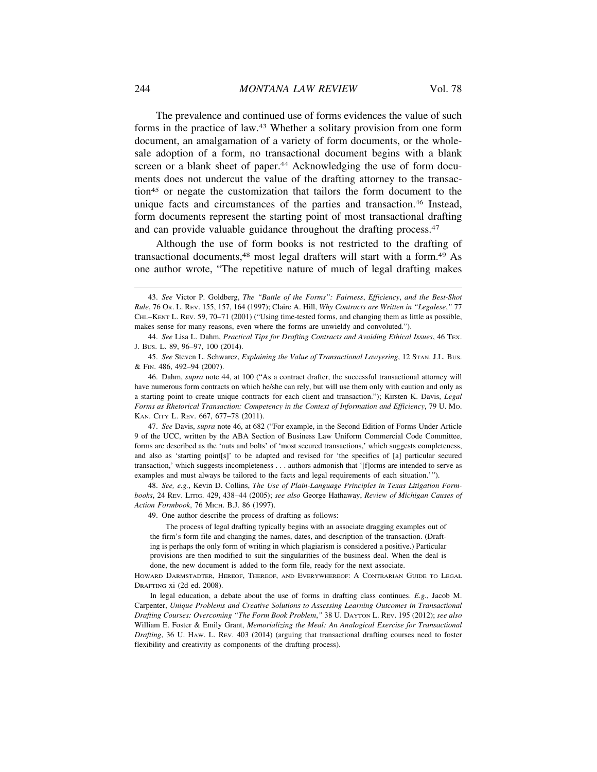The prevalence and continued use of forms evidences the value of such forms in the practice of law.43 Whether a solitary provision from one form document, an amalgamation of a variety of form documents, or the wholesale adoption of a form, no transactional document begins with a blank screen or a blank sheet of paper.<sup>44</sup> Acknowledging the use of form documents does not undercut the value of the drafting attorney to the transaction45 or negate the customization that tailors the form document to the unique facts and circumstances of the parties and transaction.46 Instead, form documents represent the starting point of most transactional drafting and can provide valuable guidance throughout the drafting process.<sup>47</sup>

Although the use of form books is not restricted to the drafting of transactional documents,48 most legal drafters will start with a form.49 As one author wrote, "The repetitive nature of much of legal drafting makes

47. *See* Davis, *supra* note 46, at 682 ("For example, in the Second Edition of Forms Under Article 9 of the UCC, written by the ABA Section of Business Law Uniform Commercial Code Committee, forms are described as the 'nuts and bolts' of 'most secured transactions,' which suggests completeness, and also as 'starting point[s]' to be adapted and revised for 'the specifics of [a] particular secured transaction,' which suggests incompleteness . . . authors admonish that '[f]orms are intended to serve as examples and must always be tailored to the facts and legal requirements of each situation.'").

48. *See, e.g.*, Kevin D. Collins, *The Use of Plain-Language Principles in Texas Litigation Formbooks*, 24 REV. LITIG. 429, 438–44 (2005); *see also* George Hathaway, *Review of Michigan Causes of Action Formbook*, 76 MICH. B.J. 86 (1997).

49. One author describe the process of drafting as follows:

The process of legal drafting typically begins with an associate dragging examples out of the firm's form file and changing the names, dates, and description of the transaction. (Drafting is perhaps the only form of writing in which plagiarism is considered a positive.) Particular provisions are then modified to suit the singularities of the business deal. When the deal is done, the new document is added to the form file, ready for the next associate.

HOWARD DARMSTADTER, HEREOF, THEREOF, AND EVERYWHEREOF: A CONTRARIAN GUIDE TO LEGAL DRAFTING xi (2d ed. 2008).

In legal education, a debate about the use of forms in drafting class continues. *E.g.*, Jacob M. Carpenter, *Unique Problems and Creative Solutions to Assessing Learning Outcomes in Transactional Drafting Courses: Overcoming "The Form Book Problem*,*"* 38 U. DAYTON L. REV. 195 (2012); *see also* William E. Foster & Emily Grant, *Memorializing the Meal: An Analogical Exercise for Transactional Drafting*, 36 U. HAW. L. REV. 403 (2014) (arguing that transactional drafting courses need to foster flexibility and creativity as components of the drafting process).

<sup>43.</sup> *See* Victor P. Goldberg, *The "Battle of the Forms": Fairness*, *Efficiency*, *and the Best-Shot Rule*, 76 OR. L. REV. 155, 157, 164 (1997); Claire A. Hill, *Why Contracts are Written in "Legalese*,*"* 77 CHI.–KENT L. REV. 59, 70–71 (2001) ("Using time-tested forms, and changing them as little as possible, makes sense for many reasons, even where the forms are unwieldy and convoluted.").

<sup>44.</sup> *See* Lisa L. Dahm, *Practical Tips for Drafting Contracts and Avoiding Ethical Issues*, 46 TEX. J. BUS. L. 89, 96–97, 100 (2014).

<sup>45.</sup> *See* Steven L. Schwarcz, *Explaining the Value of Transactional Lawyering*, 12 STAN. J.L. BUS. & FIN. 486, 492–94 (2007).

<sup>46.</sup> Dahm, *supra* note 44, at 100 ("As a contract drafter, the successful transactional attorney will have numerous form contracts on which he/she can rely, but will use them only with caution and only as a starting point to create unique contracts for each client and transaction."); Kirsten K. Davis, *Legal Forms as Rhetorical Transaction: Competency in the Context of Information and Efficiency*, 79 U. MO. KAN. CITY L. REV. 667, 677–78 (2011).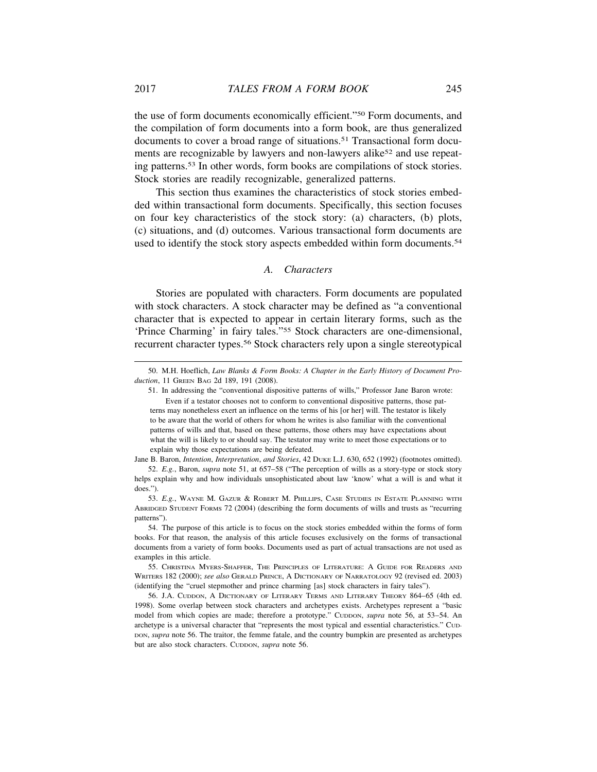the use of form documents economically efficient."50 Form documents, and the compilation of form documents into a form book, are thus generalized documents to cover a broad range of situations.51 Transactional form documents are recognizable by lawyers and non-lawyers alike<sup>52</sup> and use repeating patterns.53 In other words, form books are compilations of stock stories. Stock stories are readily recognizable, generalized patterns.

This section thus examines the characteristics of stock stories embedded within transactional form documents. Specifically, this section focuses on four key characteristics of the stock story: (a) characters, (b) plots, (c) situations, and (d) outcomes. Various transactional form documents are used to identify the stock story aspects embedded within form documents.<sup>54</sup>

#### *A. Characters*

Stories are populated with characters. Form documents are populated with stock characters. A stock character may be defined as "a conventional character that is expected to appear in certain literary forms, such as the 'Prince Charming' in fairy tales."55 Stock characters are one-dimensional, recurrent character types.56 Stock characters rely upon a single stereotypical

Jane B. Baron, *Intention*, *Interpretation*, *and Stories*, 42 DUKE L.J. 630, 652 (1992) (footnotes omitted). 52. *E.g.*, Baron, *supra* note 51, at 657–58 ("The perception of wills as a story-type or stock story

<sup>50.</sup> M.H. Hoeflich, *Law Blanks & Form Books: A Chapter in the Early History of Document Production*, 11 GREEN BAG 2d 189, 191 (2008).

<sup>51.</sup> In addressing the "conventional dispositive patterns of wills," Professor Jane Baron wrote: Even if a testator chooses not to conform to conventional dispositive patterns, those pat-

terns may nonetheless exert an influence on the terms of his [or her] will. The testator is likely to be aware that the world of others for whom he writes is also familiar with the conventional patterns of wills and that, based on these patterns, those others may have expectations about what the will is likely to or should say. The testator may write to meet those expectations or to explain why those expectations are being defeated.

helps explain why and how individuals unsophisticated about law 'know' what a will is and what it does.").

<sup>53.</sup> *E.g.*, WAYNE M. GAZUR & ROBERT M. PHILLIPS, CASE STUDIES IN ESTATE PLANNING WITH ABRIDGED STUDENT FORMS 72 (2004) (describing the form documents of wills and trusts as "recurring patterns").

<sup>54.</sup> The purpose of this article is to focus on the stock stories embedded within the forms of form books. For that reason, the analysis of this article focuses exclusively on the forms of transactional documents from a variety of form books. Documents used as part of actual transactions are not used as examples in this article.

<sup>55.</sup> CHRISTINA MYERS-SHAFFER, THE PRINCIPLES OF LITERATURE: A GUIDE FOR READERS AND WRITERS 182 (2000); *see also* GERALD PRINCE, A DICTIONARY OF NARRATOLOGY 92 (revised ed. 2003) (identifying the "cruel stepmother and prince charming [as] stock characters in fairy tales").

<sup>56.</sup> J.A. CUDDON, A DICTIONARY OF LITERARY TERMS AND LITERARY THEORY 864–65 (4th ed. 1998). Some overlap between stock characters and archetypes exists. Archetypes represent a "basic model from which copies are made; therefore a prototype." Cuppon, *supra* note 56, at 53-54. An archetype is a universal character that "represents the most typical and essential characteristics." CUD-DON, *supra* note 56. The traitor, the femme fatale, and the country bumpkin are presented as archetypes but are also stock characters. CUDDON, *supra* note 56.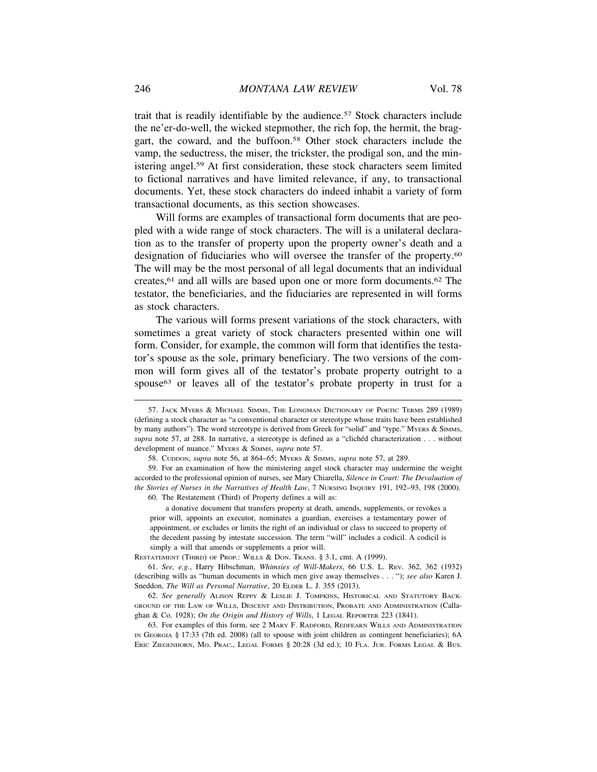trait that is readily identifiable by the audience.57 Stock characters include the ne'er-do-well, the wicked stepmother, the rich fop, the hermit, the braggart, the coward, and the buffoon.58 Other stock characters include the vamp, the seductress, the miser, the trickster, the prodigal son, and the ministering angel.59 At first consideration, these stock characters seem limited to fictional narratives and have limited relevance, if any, to transactional documents. Yet, these stock characters do indeed inhabit a variety of form transactional documents, as this section showcases.

Will forms are examples of transactional form documents that are peopled with a wide range of stock characters. The will is a unilateral declaration as to the transfer of property upon the property owner's death and a designation of fiduciaries who will oversee the transfer of the property.<sup>60</sup> The will may be the most personal of all legal documents that an individual creates,61 and all wills are based upon one or more form documents.62 The testator, the beneficiaries, and the fiduciaries are represented in will forms as stock characters.

The various will forms present variations of the stock characters, with sometimes a great variety of stock characters presented within one will form. Consider, for example, the common will form that identifies the testator's spouse as the sole, primary beneficiary. The two versions of the common will form gives all of the testator's probate property outright to a spouse<sup>63</sup> or leaves all of the testator's probate property in trust for a

a donative document that transfers property at death, amends, supplements, or revokes a prior will, appoints an executor, nominates a guardian, exercises a testamentary power of appointment, or excludes or limits the right of an individual or class to succeed to property of the decedent passing by intestate succession. The term "will" includes a codicil. A codicil is simply a will that amends or supplements a prior will.

RESTATEMENT (THIRD) OF PROP.: WILLS & DON. TRANS. § 3.1, cmt. A (1999).

61. *See, e.g.*, Harry Hibschman, *Whimsies of Will-Makers*, 66 U.S. L. REV. 362, 362 (1932) (describing wills as "human documents in which men give away themselves . . . "); *see also* Karen J. Sneddon, *The Will as Personal Narrative*, 20 ELDER L. J. 355 (2013).

62. *See generally* ALISON REPPY & LESLIE J. TOMPKINS, HISTORICAL AND STATUTORY BACK-GROUND OF THE LAW OF WILLS, DESCENT AND DISTRIBUTION, PROBATE AND ADMINISTRATION (Callaghan & Co. 1928); *On the Origin and History of Wills*, 1 LEGAL REPORTER 223 (1841).

63. For examples of this form, see 2 MARY F. RADFORD, REDFEARN WILLS AND ADMINISTRATION IN GEORGIA § 17:33 (7th ed. 2008) (all to spouse with joint children as contingent beneficiaries); 6A ERIC ZIEGENHORN, MO. PRAC., LEGAL FORMS § 20:28 (3d ed.); 10 FLA. JUR. FORMS LEGAL & BUS.

<sup>57.</sup> JACK MYERS & MICHAEL SIMMS, THE LONGMAN DICTIONARY OF POETIC TERMS 289 (1989) (defining a stock character as "a conventional character or stereotype whose traits have been established by many authors"). The word stereotype is derived from Greek for "solid" and "type." MYERS & SIMMS, supra note 57, at 288. In narrative, a stereotype is defined as a "clichéd characterization . . . without development of nuance." MYERS & SIMMS, *supra* note 57.

<sup>58.</sup> CUDDON, *supra* note 56, at 864–65; MYERS & SIMMS, *supra* note 57, at 289.

<sup>59.</sup> For an examination of how the ministering angel stock character may undermine the weight accorded to the professional opinion of nurses, see Mary Chiarella, *Silence in Court: The Devaluation of the Stories of Nurses in the Narratives of Health Law*, 7 NURSING INQUIRY 191, 192–93, 198 (2000). 60. The Restatement (Third) of Property defines a will as: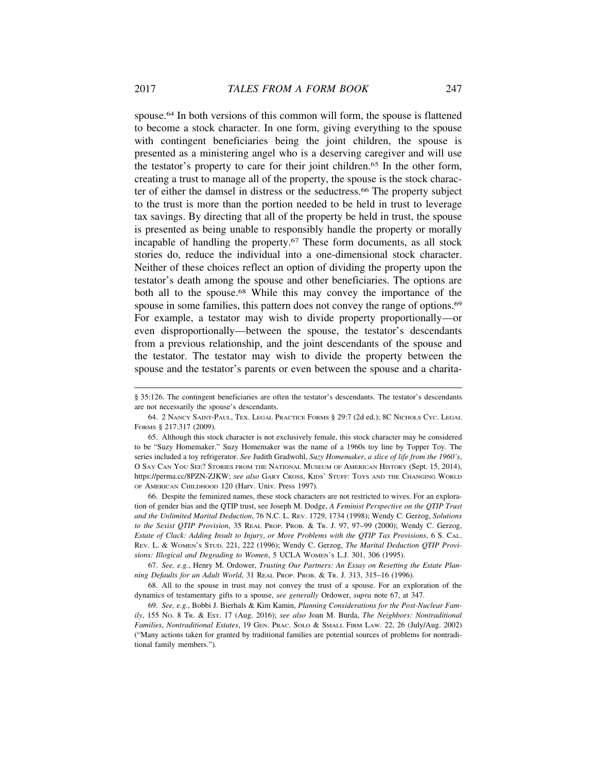spouse.<sup>64</sup> In both versions of this common will form, the spouse is flattened to become a stock character. In one form, giving everything to the spouse with contingent beneficiaries being the joint children, the spouse is presented as a ministering angel who is a deserving caregiver and will use the testator's property to care for their joint children.65 In the other form, creating a trust to manage all of the property, the spouse is the stock character of either the damsel in distress or the seductress.66 The property subject to the trust is more than the portion needed to be held in trust to leverage tax savings. By directing that all of the property be held in trust, the spouse is presented as being unable to responsibly handle the property or morally incapable of handling the property.67 These form documents, as all stock stories do, reduce the individual into a one-dimensional stock character. Neither of these choices reflect an option of dividing the property upon the testator's death among the spouse and other beneficiaries. The options are both all to the spouse.<sup>68</sup> While this may convey the importance of the spouse in some families, this pattern does not convey the range of options.<sup>69</sup> For example, a testator may wish to divide property proportionally—or even disproportionally—between the spouse, the testator's descendants from a previous relationship, and the joint descendants of the spouse and the testator. The testator may wish to divide the property between the spouse and the testator's parents or even between the spouse and a charita-

66. Despite the feminized names, these stock characters are not restricted to wives. For an exploration of gender bias and the QTIP trust, see Joseph M. Dodge, *A Feminist Perspective on the QTIP Trust and the Unlimited Marital Deduction*, 76 N.C. L. REV. 1729, 1734 (1998); Wendy C. Gerzog, *Solutions to the Sexist QTIP Provision*, 35 REAL PROP. PROB. & TR. J. 97, 97–99 (2000); Wendy C. Gerzog, *Estate of Clack: Adding Insult to Injury*, *or More Problems with the QTIP Tax Provisions*, 6 S. CAL. REV. L. & WOMEN'S STUD. 221, 222 (1996); Wendy C. Gerzog, *The Marital Deduction QTIP Provisions: Illogical and Degrading to Women*, 5 UCLA WOMEN'S L.J. 301, 306 (1995).

67. *See, e.g.*, Henry M. Ordower, *Trusting Our Partners: An Essay on Resetting the Estate Planning Defaults for an Adult World*, 31 REAL PROP. PROB. & TR. J. 313, 315–16 (1996).

68. All to the spouse in trust may not convey the trust of a spouse. For an exploration of the dynamics of testamentary gifts to a spouse, *see generally* Ordower, *supra* note 67, at 347.

69. *See, e.g.*, Bobbi J. Bierhals & Kim Kamin, *Planning Considerations for the Post-Nuclear Family*, 155 NO. 8 TR. & EST. 17 (Aug. 2016); *see also* Joan M. Burda, *The Neighbors: Nontraditional Families*, *Nontraditional Estates*, 19 GEN. PRAC. SOLO & SMALL FIRM LAW. 22, 26 (July/Aug. 2002) ("Many actions taken for granted by traditional families are potential sources of problems for nontraditional family members.").

<sup>§ 35:126.</sup> The contingent beneficiaries are often the testator's descendants. The testator's descendants are not necessarily the spouse's descendants.

<sup>64. 2</sup> NANCY SAINT-PAUL, TEX. LEGAL PRACTICE FORMS § 29:7 (2d ed.); 8C NICHOLS CYC. LEGAL FORMS § 217:317 (2009).

<sup>65.</sup> Although this stock character is not exclusively female, this stock character may be considered to be "Suzy Homemaker." Suzy Homemaker was the name of a 1960s toy line by Topper Toy. The series included a toy refrigerator. *See* Judith Gradwohl, *Suzy Homemaker*, *a slice of life from the 1960's*, O SAY CAN YOU SEE? STORIES FROM THE NATIONAL MUSEUM OF AMERICAN HISTORY (Sept. 15, 2014), https://perma.cc/8PZN-ZJKW; *see also* GARY CROSS, KIDS' STUFF: TOYS AND THE CHANGING WORLD OF AMERICAN CHILDHOOD 120 (Harv. Univ. Press 1997).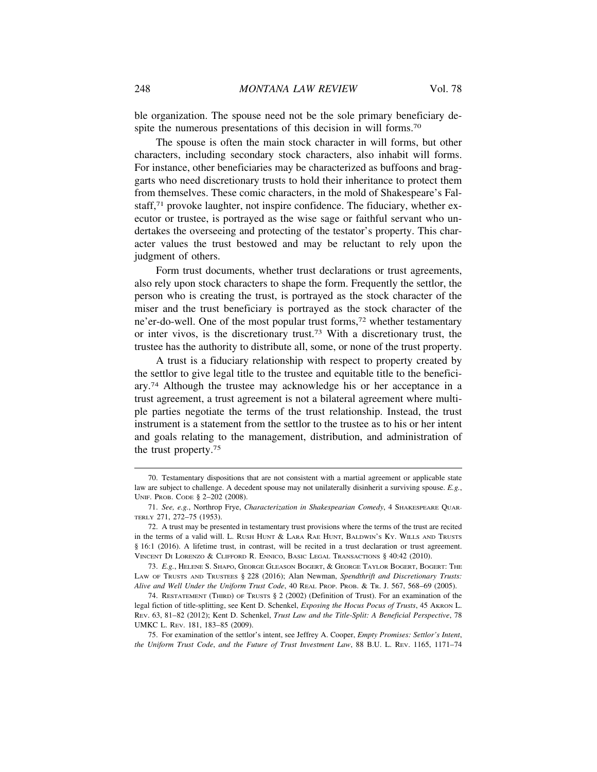ble organization. The spouse need not be the sole primary beneficiary despite the numerous presentations of this decision in will forms.70

The spouse is often the main stock character in will forms, but other characters, including secondary stock characters, also inhabit will forms. For instance, other beneficiaries may be characterized as buffoons and braggarts who need discretionary trusts to hold their inheritance to protect them from themselves. These comic characters, in the mold of Shakespeare's Falstaff,71 provoke laughter, not inspire confidence. The fiduciary, whether executor or trustee, is portrayed as the wise sage or faithful servant who undertakes the overseeing and protecting of the testator's property. This character values the trust bestowed and may be reluctant to rely upon the judgment of others.

Form trust documents, whether trust declarations or trust agreements, also rely upon stock characters to shape the form. Frequently the settlor, the person who is creating the trust, is portrayed as the stock character of the miser and the trust beneficiary is portrayed as the stock character of the ne'er-do-well. One of the most popular trust forms,72 whether testamentary or inter vivos, is the discretionary trust.73 With a discretionary trust, the trustee has the authority to distribute all, some, or none of the trust property.

A trust is a fiduciary relationship with respect to property created by the settlor to give legal title to the trustee and equitable title to the beneficiary.74 Although the trustee may acknowledge his or her acceptance in a trust agreement, a trust agreement is not a bilateral agreement where multiple parties negotiate the terms of the trust relationship. Instead, the trust instrument is a statement from the settlor to the trustee as to his or her intent and goals relating to the management, distribution, and administration of the trust property.75

<sup>70.</sup> Testamentary dispositions that are not consistent with a martial agreement or applicable state law are subject to challenge. A decedent spouse may not unilaterally disinherit a surviving spouse. *E.g.*, UNIF. PROB. CODE § 2–202 (2008).

<sup>71.</sup> *See, e.g.*, Northrop Frye, *Characterization in Shakespearian Comedy*, 4 SHAKESPEARE QUAR-TERLY 271, 272–75 (1953).

<sup>72.</sup> A trust may be presented in testamentary trust provisions where the terms of the trust are recited in the terms of a valid will. L. RUSH HUNT & LARA RAE HUNT, BALDWIN'S KY. WILLS AND TRUSTS § 16:1 (2016). A lifetime trust, in contrast, will be recited in a trust declaration or trust agreement. VINCENT DI LORENZO & CLIFFORD R. ENNICO, BASIC LEGAL TRANSACTIONS § 40:42 (2010).

<sup>73.</sup> *E.g.*, HELENE S. SHAPO, GEORGE GLEASON BOGERT, & GEORGE TAYLOR BOGERT, BOGERT: THE LAW OF TRUSTS AND TRUSTEES § 228 (2016); Alan Newman, *Spendthrift and Discretionary Trusts: Alive and Well Under the Uniform Trust Code*, 40 REAL PROP. PROB. & TR. J. 567, 568–69 (2005).

<sup>74.</sup> RESTATEMENT (THIRD) OF TRUSTS § 2 (2002) (Definition of Trust). For an examination of the legal fiction of title-splitting, see Kent D. Schenkel, *Exposing the Hocus Pocus of Trusts*, 45 AKRON L. REV. 63, 81–82 (2012); Kent D. Schenkel, *Trust Law and the Title-Split: A Beneficial Perspective*, 78 UMKC L. REV. 181, 183–85 (2009).

<sup>75.</sup> For examination of the settlor's intent, see Jeffrey A. Cooper, *Empty Promises: Settlor's Intent*, *the Uniform Trust Code*, *and the Future of Trust Investment Law*, 88 B.U. L. REV. 1165, 1171–74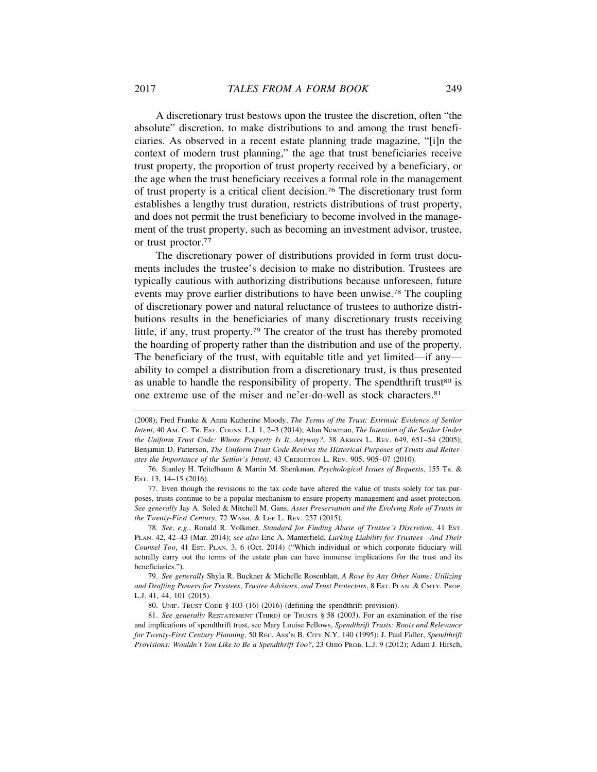A discretionary trust bestows upon the trustee the discretion, often "the absolute" discretion, to make distributions to and among the trust beneficiaries. As observed in a recent estate planning trade magazine, "[i]n the context of modern trust planning," the age that trust beneficiaries receive trust property, the proportion of trust property received by a beneficiary, or the age when the trust beneficiary receives a formal role in the management of trust property is a critical client decision.76 The discretionary trust form establishes a lengthy trust duration, restricts distributions of trust property, and does not permit the trust beneficiary to become involved in the management of the trust property, such as becoming an investment advisor, trustee, or trust proctor.77

The discretionary power of distributions provided in form trust documents includes the trustee's decision to make no distribution. Trustees are typically cautious with authorizing distributions because unforeseen, future events may prove earlier distributions to have been unwise.78 The coupling of discretionary power and natural reluctance of trustees to authorize distributions results in the beneficiaries of many discretionary trusts receiving little, if any, trust property.79 The creator of the trust has thereby promoted the hoarding of property rather than the distribution and use of the property. The beneficiary of the trust, with equitable title and yet limited—if any ability to compel a distribution from a discretionary trust, is thus presented as unable to handle the responsibility of property. The spendthrift trust<sup>80</sup> is one extreme use of the miser and ne'er-do-well as stock characters.81

<sup>(2008);</sup> Fred Franke & Anna Katherine Moody, *The Terms of the Trust: Extrinsic Evidence of Settlor Intent*, 40 AM. C. TR. EST. COUNS. L.J. 1, 2–3 (2014); Alan Newman, *The Intention of the Settlor Under the Uniform Trust Code: Whose Property Is It*, *Anyway?*, 38 AKRON L. REV. 649, 651–54 (2005); Benjamin D. Patterson, *The Uniform Trust Code Revives the Historical Purposes of Trusts and Reiterates the Importance of the Settlor's Intent*, 43 CREIGHTON L. REV. 905, 905–07 (2010).

<sup>76.</sup> Stanley H. Teitelbaum & Martin M. Shenkman, *Psychological Issues of Bequests*, 155 TR. & EST. 13, 14–15 (2016).

<sup>77.</sup> Even though the revisions to the tax code have altered the value of trusts solely for tax purposes, trusts continue to be a popular mechanism to ensure property management and asset protection. *See generally* Jay A. Soled & Mitchell M. Gans, *Asset Preservation and the Evolving Role of Trusts in the Twenty-First Century*, 72 WASH. & LEE L. REV. 257 (2015).

<sup>78.</sup> *See, e.g.*, Ronald R. Volkmer, *Standard for Finding Abuse of Trustee's Discretion*, 41 EST. PLAN. 42, 42–43 (Mar. 2014); *see also* Eric A. Manterfield, *Lurking Liability for Trustees—And Their Counsel Too*, 41 EST. PLAN. 3, 6 (Oct. 2014) ("Which individual or which corporate fiduciary will actually carry out the terms of the estate plan can have immense implications for the trust and its beneficiaries.").

<sup>79.</sup> *See generally* Shyla R. Buckner & Michelle Rosenblatt, *A Rose by Any Other Name: Utilizing and Drafting Powers for Trustees*, *Trustee Advisors*, *and Trust Protectors*, 8 EST. PLAN. & CMTY. PROP. L.J. 41, 44, 101 (2015).

<sup>80.</sup> UNIF. TRUST CODE § 103 (16) (2016) (defining the spendthrift provision).

<sup>81.</sup> *See generally* RESTATEMENT (THIRD) OF TRUSTS § 58 (2003). For an examination of the rise and implications of spendthrift trust, see Mary Louise Fellows, *Spendthrift Trusts: Roots and Relevance for Twenty-First Century Planning*, 50 REC. ASS'N B. CITY N.Y. 140 (1995); J. Paul Fidler, *Spendthrift Provisions: Wouldn't You Like to Be a Spendthrift Too?*, 23 OHIO PROB. L.J. 9 (2012); Adam J. Hirsch,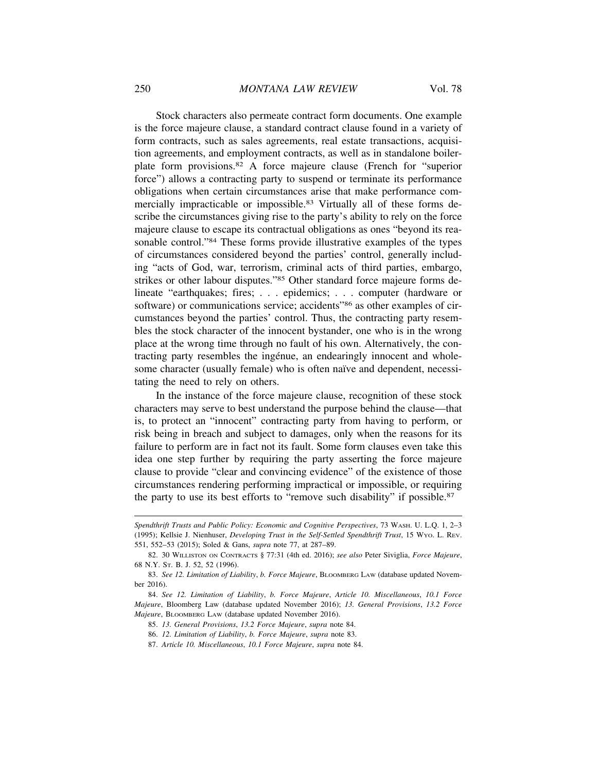Stock characters also permeate contract form documents. One example is the force majeure clause, a standard contract clause found in a variety of form contracts, such as sales agreements, real estate transactions, acquisition agreements, and employment contracts, as well as in standalone boilerplate form provisions.82 A force majeure clause (French for "superior force") allows a contracting party to suspend or terminate its performance obligations when certain circumstances arise that make performance commercially impracticable or impossible.<sup>83</sup> Virtually all of these forms describe the circumstances giving rise to the party's ability to rely on the force majeure clause to escape its contractual obligations as ones "beyond its reasonable control."84 These forms provide illustrative examples of the types of circumstances considered beyond the parties' control, generally including "acts of God, war, terrorism, criminal acts of third parties, embargo, strikes or other labour disputes."85 Other standard force majeure forms delineate "earthquakes; fires; . . . epidemics; . . . computer (hardware or software) or communications service; accidents"<sup>86</sup> as other examples of circumstances beyond the parties' control. Thus, the contracting party resembles the stock character of the innocent bystander, one who is in the wrong place at the wrong time through no fault of his own. Alternatively, the contracting party resembles the ingénue, an endearingly innocent and wholesome character (usually female) who is often naïve and dependent, necessitating the need to rely on others.

In the instance of the force majeure clause, recognition of these stock characters may serve to best understand the purpose behind the clause—that is, to protect an "innocent" contracting party from having to perform, or risk being in breach and subject to damages, only when the reasons for its failure to perform are in fact not its fault. Some form clauses even take this idea one step further by requiring the party asserting the force majeure clause to provide "clear and convincing evidence" of the existence of those circumstances rendering performing impractical or impossible, or requiring the party to use its best efforts to "remove such disability" if possible.87

- 85. *13. General Provisions*, *13.2 Force Majeure*, *supra* note 84.
- 86. *12. Limitation of Liability*, *b. Force Majeure*, *supra* note 83.
- 87. *Article 10. Miscellaneous*, *10.1 Force Majeure*, *supra* note 84.

*Spendthrift Trusts and Public Policy: Economic and Cognitive Perspectives*, 73 WASH. U. L.Q. 1, 2–3 (1995); Kellsie J. Nienhuser, *Developing Trust in the Self-Settled Spendthrift Trust*, 15 WYO. L. REV. 551, 552–53 (2015); Soled & Gans, *supra* note 77, at 287–89.

<sup>82. 30</sup> WILLISTON ON CONTRACTS § 77:31 (4th ed. 2016); *see also* Peter Siviglia, *Force Majeure*, 68 N.Y. ST. B. J. 52, 52 (1996).

<sup>83.</sup> *See 12. Limitation of Liability*, *b. Force Majeure*, BLOOMBERG LAW (database updated November 2016).

<sup>84.</sup> *See 12. Limitation of Liability*, *b. Force Majeure*, *Article 10. Miscellaneous*, *10.1 Force Majeure*, Bloomberg Law (database updated November 2016); *13. General Provisions*, *13.2 Force Majeure*, BLOOMBERG LAW (database updated November 2016).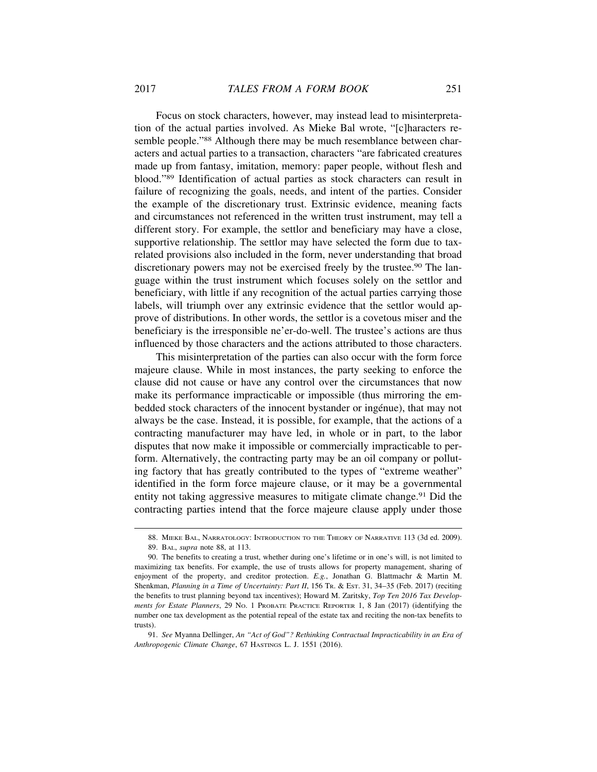Focus on stock characters, however, may instead lead to misinterpretation of the actual parties involved. As Mieke Bal wrote, "[c]haracters resemble people."<sup>88</sup> Although there may be much resemblance between characters and actual parties to a transaction, characters "are fabricated creatures made up from fantasy, imitation, memory: paper people, without flesh and blood."89 Identification of actual parties as stock characters can result in failure of recognizing the goals, needs, and intent of the parties. Consider the example of the discretionary trust. Extrinsic evidence, meaning facts and circumstances not referenced in the written trust instrument, may tell a different story. For example, the settlor and beneficiary may have a close, supportive relationship. The settlor may have selected the form due to taxrelated provisions also included in the form, never understanding that broad discretionary powers may not be exercised freely by the trustee.<sup>90</sup> The language within the trust instrument which focuses solely on the settlor and beneficiary, with little if any recognition of the actual parties carrying those labels, will triumph over any extrinsic evidence that the settlor would approve of distributions. In other words, the settlor is a covetous miser and the beneficiary is the irresponsible ne'er-do-well. The trustee's actions are thus influenced by those characters and the actions attributed to those characters.

This misinterpretation of the parties can also occur with the form force majeure clause. While in most instances, the party seeking to enforce the clause did not cause or have any control over the circumstances that now make its performance impracticable or impossible (thus mirroring the embedded stock characters of the innocent bystander or ingénue), that may not always be the case. Instead, it is possible, for example, that the actions of a contracting manufacturer may have led, in whole or in part, to the labor disputes that now make it impossible or commercially impracticable to perform. Alternatively, the contracting party may be an oil company or polluting factory that has greatly contributed to the types of "extreme weather" identified in the form force majeure clause, or it may be a governmental entity not taking aggressive measures to mitigate climate change.<sup>91</sup> Did the contracting parties intend that the force majeure clause apply under those

<sup>88.</sup> MIEKE BAL, NARRATOLOGY: INTRODUCTION TO THE THEORY OF NARRATIVE 113 (3d ed. 2009). 89. BAL, *supra* note 88, at 113.

<sup>90.</sup> The benefits to creating a trust, whether during one's lifetime or in one's will, is not limited to maximizing tax benefits. For example, the use of trusts allows for property management, sharing of enjoyment of the property, and creditor protection. *E.g.*, Jonathan G. Blattmachr & Martin M. Shenkman, *Planning in a Time of Uncertainty: Part II*, 156 TR. & EST. 31, 34–35 (Feb. 2017) (reciting the benefits to trust planning beyond tax incentives); Howard M. Zaritsky, *Top Ten 2016 Tax Developments for Estate Planners*, 29 NO. 1 PROBATE PRACTICE REPORTER 1, 8 Jan (2017) (identifying the number one tax development as the potential repeal of the estate tax and reciting the non-tax benefits to trusts).

<sup>91.</sup> *See* Myanna Dellinger, *An "Act of God"? Rethinking Contractual Impracticability in an Era of Anthropogenic Climate Change*, 67 HASTINGS L. J. 1551 (2016).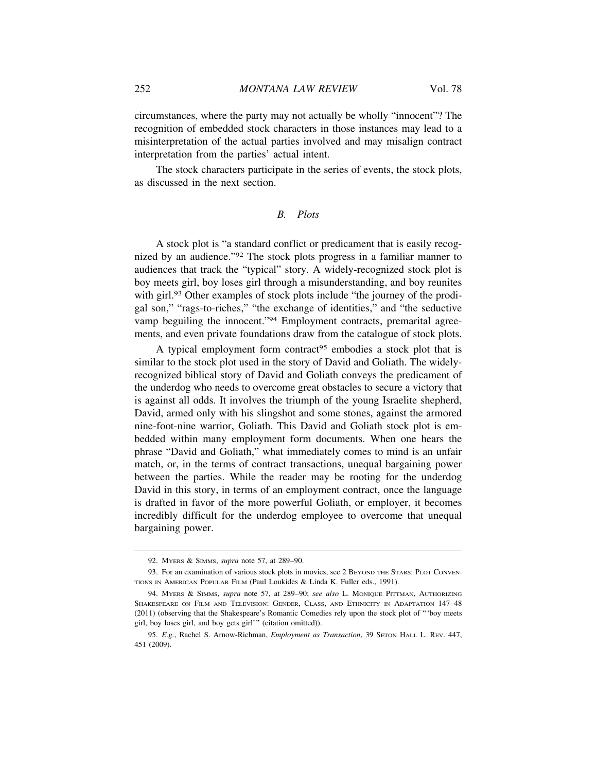circumstances, where the party may not actually be wholly "innocent"? The recognition of embedded stock characters in those instances may lead to a misinterpretation of the actual parties involved and may misalign contract interpretation from the parties' actual intent.

The stock characters participate in the series of events, the stock plots, as discussed in the next section.

# *B. Plots*

A stock plot is "a standard conflict or predicament that is easily recognized by an audience."92 The stock plots progress in a familiar manner to audiences that track the "typical" story. A widely-recognized stock plot is boy meets girl, boy loses girl through a misunderstanding, and boy reunites with girl.<sup>93</sup> Other examples of stock plots include "the journey of the prodigal son," "rags-to-riches," "the exchange of identities," and "the seductive vamp beguiling the innocent."94 Employment contracts, premarital agreements, and even private foundations draw from the catalogue of stock plots.

A typical employment form contract<sup>95</sup> embodies a stock plot that is similar to the stock plot used in the story of David and Goliath. The widelyrecognized biblical story of David and Goliath conveys the predicament of the underdog who needs to overcome great obstacles to secure a victory that is against all odds. It involves the triumph of the young Israelite shepherd, David, armed only with his slingshot and some stones, against the armored nine-foot-nine warrior, Goliath. This David and Goliath stock plot is embedded within many employment form documents. When one hears the phrase "David and Goliath," what immediately comes to mind is an unfair match, or, in the terms of contract transactions, unequal bargaining power between the parties. While the reader may be rooting for the underdog David in this story, in terms of an employment contract, once the language is drafted in favor of the more powerful Goliath, or employer, it becomes incredibly difficult for the underdog employee to overcome that unequal bargaining power.

<sup>92.</sup> MYERS & SIMMS, *supra* note 57, at 289–90.

<sup>93.</sup> For an examination of various stock plots in movies, see 2 BEYOND THE STARS: PLOT CONVEN-TIONS IN AMERICAN POPULAR FILM (Paul Loukides & Linda K. Fuller eds., 1991).

<sup>94.</sup> MYERS & SIMMS, *supra* note 57, at 289–90; *see also* L. MONIQUE PITTMAN, AUTHORIZING SHAKESPEARE ON FILM AND TELEVISION: GENDER, CLASS, AND ETHNICITY IN ADAPTATION 147–48 (2011) (observing that the Shakespeare's Romantic Comedies rely upon the stock plot of "'boy meets girl, boy loses girl, and boy gets girl'" (citation omitted)).

<sup>95.</sup> *E.g.*, Rachel S. Arnow-Richman, *Employment as Transaction*, 39 SETON HALL L. REV. 447, 451 (2009).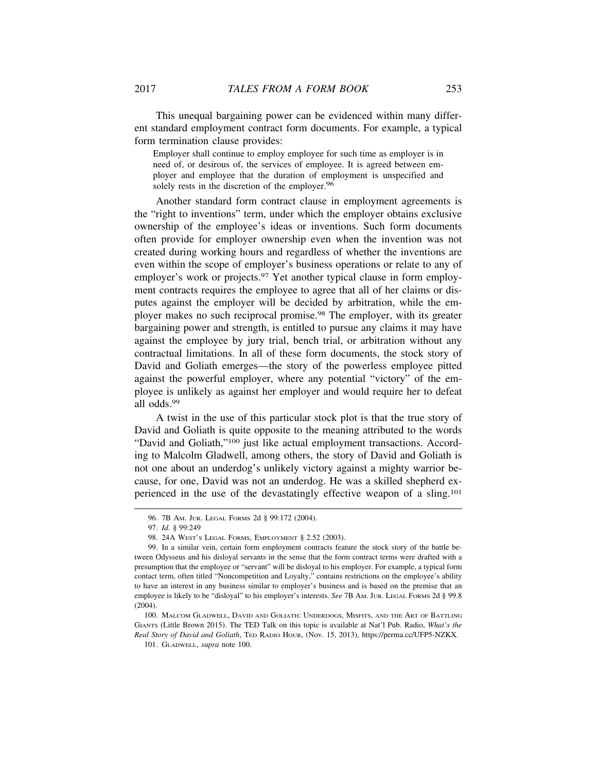This unequal bargaining power can be evidenced within many different standard employment contract form documents. For example, a typical form termination clause provides:

Employer shall continue to employ employee for such time as employer is in need of, or desirous of, the services of employee. It is agreed between employer and employee that the duration of employment is unspecified and solely rests in the discretion of the employer.<sup>96</sup>

Another standard form contract clause in employment agreements is the "right to inventions" term, under which the employer obtains exclusive ownership of the employee's ideas or inventions. Such form documents often provide for employer ownership even when the invention was not created during working hours and regardless of whether the inventions are even within the scope of employer's business operations or relate to any of employer's work or projects.<sup>97</sup> Yet another typical clause in form employment contracts requires the employee to agree that all of her claims or disputes against the employer will be decided by arbitration, while the employer makes no such reciprocal promise.98 The employer, with its greater bargaining power and strength, is entitled to pursue any claims it may have against the employee by jury trial, bench trial, or arbitration without any contractual limitations. In all of these form documents, the stock story of David and Goliath emerges—the story of the powerless employee pitted against the powerful employer, where any potential "victory" of the employee is unlikely as against her employer and would require her to defeat all odds.99

A twist in the use of this particular stock plot is that the true story of David and Goliath is quite opposite to the meaning attributed to the words "David and Goliath,"100 just like actual employment transactions. According to Malcolm Gladwell, among others, the story of David and Goliath is not one about an underdog's unlikely victory against a mighty warrior because, for one, David was not an underdog. He was a skilled shepherd experienced in the use of the devastatingly effective weapon of a sling.101

<sup>96. 7</sup>B AM. JUR. LEGAL FORMS 2d § 99:172 (2004).

<sup>97.</sup> *Id.* § 99:249

<sup>98. 24</sup>A WEST'S LEGAL FORMS, EMPLOYMENT § 2.52 (2003).

<sup>99.</sup> In a similar vein, certain form employment contracts feature the stock story of the battle between Odysseus and his disloyal servants in the sense that the form contract terms were drafted with a presumption that the employee or "servant" will be disloyal to his employer. For example, a typical form contact term, often titled "Noncompetition and Loyalty," contains restrictions on the employee's ability to have an interest in any business similar to employer's business and is based on the premise that an employee is likely to be "disloyal" to his employer's interests. *See* 7B AM. JUR. LEGAL FORMS 2d § 99.8 (2004).

<sup>100.</sup> MALCOM GLADWELL, DAVID AND GOLIATH: UNDERDOGS, MISFITS, AND THE ART OF BATTLING GIANTS (Little Brown 2015). The TED Talk on this topic is available at Nat'l Pub. Radio, *What's the Real Story of David and Goliath*, TED RADIO HOUR, (Nov. 15, 2013), https://perma.cc/UFP5-NZKX.

<sup>101.</sup> GLADWELL, *supra* note 100.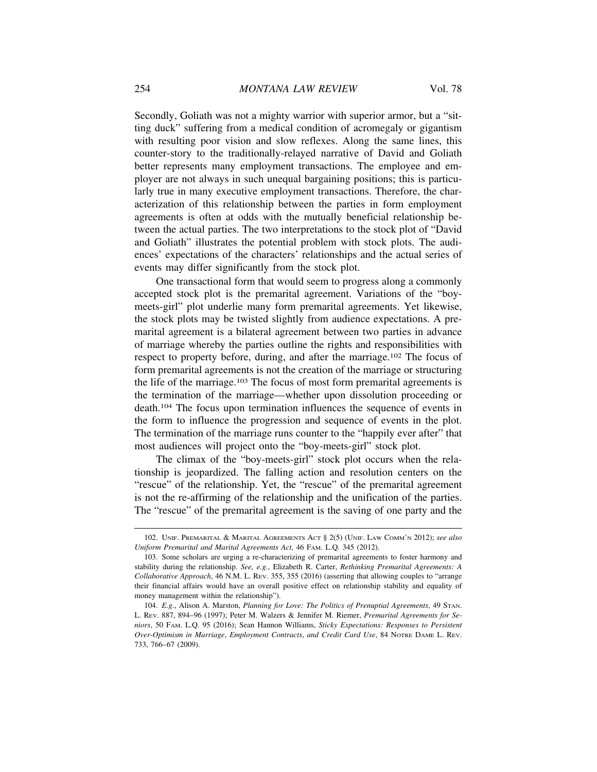Secondly, Goliath was not a mighty warrior with superior armor, but a "sitting duck" suffering from a medical condition of acromegaly or gigantism with resulting poor vision and slow reflexes. Along the same lines, this counter-story to the traditionally-relayed narrative of David and Goliath better represents many employment transactions. The employee and employer are not always in such unequal bargaining positions; this is particularly true in many executive employment transactions. Therefore, the characterization of this relationship between the parties in form employment agreements is often at odds with the mutually beneficial relationship between the actual parties. The two interpretations to the stock plot of "David and Goliath" illustrates the potential problem with stock plots. The audiences' expectations of the characters' relationships and the actual series of events may differ significantly from the stock plot.

One transactional form that would seem to progress along a commonly accepted stock plot is the premarital agreement. Variations of the "boymeets-girl" plot underlie many form premarital agreements. Yet likewise, the stock plots may be twisted slightly from audience expectations. A premarital agreement is a bilateral agreement between two parties in advance of marriage whereby the parties outline the rights and responsibilities with respect to property before, during, and after the marriage.102 The focus of form premarital agreements is not the creation of the marriage or structuring the life of the marriage.103 The focus of most form premarital agreements is the termination of the marriage—whether upon dissolution proceeding or death.104 The focus upon termination influences the sequence of events in the form to influence the progression and sequence of events in the plot. The termination of the marriage runs counter to the "happily ever after" that most audiences will project onto the "boy-meets-girl" stock plot.

The climax of the "boy-meets-girl" stock plot occurs when the relationship is jeopardized. The falling action and resolution centers on the "rescue" of the relationship. Yet, the "rescue" of the premarital agreement is not the re-affirming of the relationship and the unification of the parties. The "rescue" of the premarital agreement is the saving of one party and the

<sup>102.</sup> UNIF. PREMARITAL & MARITAL AGREEMENTS ACT § 2(5) (UNIF. LAW COMM'N 2012); *see also Uniform Premarital and Marital Agreements Act*, 46 FAM. L.Q. 345 (2012).

<sup>103.</sup> Some scholars are urging a re-characterizing of premarital agreements to foster harmony and stability during the relationship. *See, e.g.*, Elizabeth R. Carter, *Rethinking Premarital Agreements: A Collaborative Approach*, 46 N.M. L. REV. 355, 355 (2016) (asserting that allowing couples to "arrange their financial affairs would have an overall positive effect on relationship stability and equality of money management within the relationship").

<sup>104.</sup> *E.g.*, Alison A. Marston, *Planning for Love: The Politics of Prenuptial Agreements*, 49 STAN. L. REV. 887, 894–96 (1997); Peter M. Walzers & Jennifer M. Riemer, *Premarital Agreements for Seniors*, 50 FAM. L.Q. 95 (2016); Sean Hannon Williams, *Sticky Expectations: Responses to Persistent Over-Optimism in Marriage*, *Employment Contracts*, *and Credit Card Use*, 84 NOTRE DAME L. REV. 733, 766–67 (2009).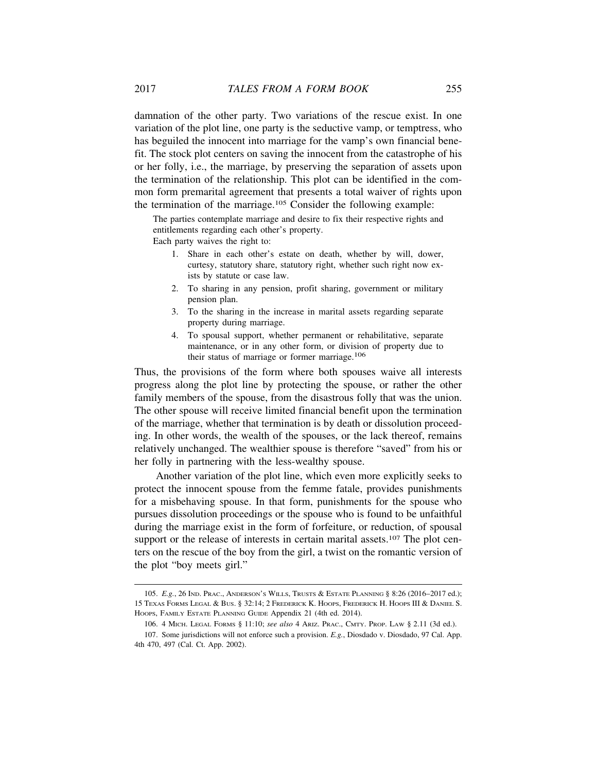damnation of the other party. Two variations of the rescue exist. In one variation of the plot line, one party is the seductive vamp, or temptress, who has beguiled the innocent into marriage for the vamp's own financial benefit. The stock plot centers on saving the innocent from the catastrophe of his or her folly, i.e., the marriage, by preserving the separation of assets upon the termination of the relationship. This plot can be identified in the common form premarital agreement that presents a total waiver of rights upon the termination of the marriage.105 Consider the following example:

The parties contemplate marriage and desire to fix their respective rights and entitlements regarding each other's property.

Each party waives the right to:

- 1. Share in each other's estate on death, whether by will, dower, curtesy, statutory share, statutory right, whether such right now exists by statute or case law.
- 2. To sharing in any pension, profit sharing, government or military pension plan.
- 3. To the sharing in the increase in marital assets regarding separate property during marriage.
- 4. To spousal support, whether permanent or rehabilitative, separate maintenance, or in any other form, or division of property due to their status of marriage or former marriage.106

Thus, the provisions of the form where both spouses waive all interests progress along the plot line by protecting the spouse, or rather the other family members of the spouse, from the disastrous folly that was the union. The other spouse will receive limited financial benefit upon the termination of the marriage, whether that termination is by death or dissolution proceeding. In other words, the wealth of the spouses, or the lack thereof, remains relatively unchanged. The wealthier spouse is therefore "saved" from his or her folly in partnering with the less-wealthy spouse.

Another variation of the plot line, which even more explicitly seeks to protect the innocent spouse from the femme fatale, provides punishments for a misbehaving spouse. In that form, punishments for the spouse who pursues dissolution proceedings or the spouse who is found to be unfaithful during the marriage exist in the form of forfeiture, or reduction, of spousal support or the release of interests in certain marital assets.<sup>107</sup> The plot centers on the rescue of the boy from the girl, a twist on the romantic version of the plot "boy meets girl."

<sup>105.</sup> *E.g.*, 26 IND. PRAC., ANDERSON'S WILLS, TRUSTS & ESTATE PLANNING § 8:26 (2016–2017 ed.); 15 TEXAS FORMS LEGAL & BUS. § 32:14; 2 FREDERICK K. HOOPS, FREDERICK H. HOOPS III & DANIEL S. HOOPS, FAMILY ESTATE PLANNING GUIDE Appendix 21 (4th ed. 2014).

<sup>106. 4</sup> MICH. LEGAL FORMS § 11:10; *see also* 4 ARIZ. PRAC., CMTY. PROP. LAW § 2.11 (3d ed.).

<sup>107.</sup> Some jurisdictions will not enforce such a provision. *E.g.*, Diosdado v. Diosdado, 97 Cal. App. 4th 470, 497 (Cal. Ct. App. 2002).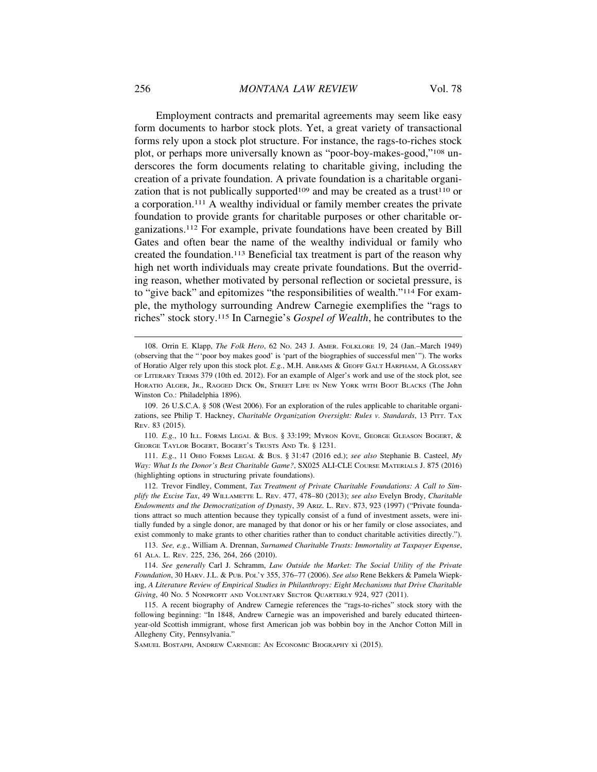Employment contracts and premarital agreements may seem like easy form documents to harbor stock plots. Yet, a great variety of transactional forms rely upon a stock plot structure. For instance, the rags-to-riches stock plot, or perhaps more universally known as "poor-boy-makes-good,"108 underscores the form documents relating to charitable giving, including the creation of a private foundation. A private foundation is a charitable organization that is not publically supported<sup>109</sup> and may be created as a trust<sup>110</sup> or a corporation.111 A wealthy individual or family member creates the private foundation to provide grants for charitable purposes or other charitable organizations.112 For example, private foundations have been created by Bill Gates and often bear the name of the wealthy individual or family who created the foundation.113 Beneficial tax treatment is part of the reason why high net worth individuals may create private foundations. But the overriding reason, whether motivated by personal reflection or societal pressure, is to "give back" and epitomizes "the responsibilities of wealth."114 For example, the mythology surrounding Andrew Carnegie exemplifies the "rags to riches" stock story.115 In Carnegie's *Gospel of Wealth*, he contributes to the

110. *E.g.*, 10 ILL. FORMS LEGAL & BUS. § 33:199; MYRON KOVE, GEORGE GLEASON BOGERT, & GEORGE TAYLOR BOGERT, BOGERT'S TRUSTS AND TR. § 1231.

111. *E.g.*, 11 OHIO FORMS LEGAL & BUS. § 31:47 (2016 ed.); *see also* Stephanie B. Casteel, *My Way: What Is the Donor's Best Charitable Game?*, SX025 ALI-CLE COURSE MATERIALS J. 875 (2016) (highlighting options in structuring private foundations).

112. Trevor Findley, Comment, *Tax Treatment of Private Charitable Foundations: A Call to Simplify the Excise Tax*, 49 WILLAMETTE L. REV. 477, 478–80 (2013); *see also* Evelyn Brody, *Charitable Endowments and the Democratization of Dynasty*, 39 ARIZ. L. REV. 873, 923 (1997) ("Private foundations attract so much attention because they typically consist of a fund of investment assets, were initially funded by a single donor, are managed by that donor or his or her family or close associates, and exist commonly to make grants to other charities rather than to conduct charitable activities directly.").

<sup>108.</sup> Orrin E. Klapp, *The Folk Hero*, 62 NO. 243 J. AMER. FOLKLORE 19, 24 (Jan.–March 1949) (observing that the "'poor boy makes good' is 'part of the biographies of successful men'"). The works of Horatio Alger rely upon this stock plot. *E.g.*, M.H. ABRAMS & GEOFF GALT HARPHAM, A GLOSSARY OF LITERARY TERMS 379 (10th ed. 2012). For an example of Alger's work and use of the stock plot, see HORATIO ALGER, JR., RAGGED DICK OR, STREET LIFE IN NEW YORK WITH BOOT BLACKS (The John Winston Co.: Philadelphia 1896).

<sup>109. 26</sup> U.S.C.A. § 508 (West 2006). For an exploration of the rules applicable to charitable organizations, see Philip T. Hackney, *Charitable Organization Oversight: Rules v. Standards*, 13 PITT. TAX REV. 83 (2015).

<sup>113.</sup> *See, e.g.*, William A. Drennan, *Surnamed Charitable Trusts: Immortality at Taxpayer Expense*, 61 ALA. L. REV. 225, 236, 264, 266 (2010).

<sup>114.</sup> *See generally* Carl J. Schramm, *Law Outside the Market: The Social Utility of the Private Foundation*, 30 HARV. J.L. & PUB. POL'Y 355, 376–77 (2006). *See also* Rene Bekkers & Pamela Wiepking, *A Literature Review of Empirical Studies in Philanthropy: Eight Mechanisms that Drive Charitable Giving*, 40 NO. 5 NONPROFIT AND VOLUNTARY SECTOR QUARTERLY 924, 927 (2011).

<sup>115.</sup> A recent biography of Andrew Carnegie references the "rags-to-riches" stock story with the following beginning: "In 1848, Andrew Carnegie was an impoverished and barely educated thirteenyear-old Scottish immigrant, whose first American job was bobbin boy in the Anchor Cotton Mill in Allegheny City, Pennsylvania."

SAMUEL BOSTAPH, ANDREW CARNEGIE: AN ECONOMIC BIOGRAPHY xi (2015).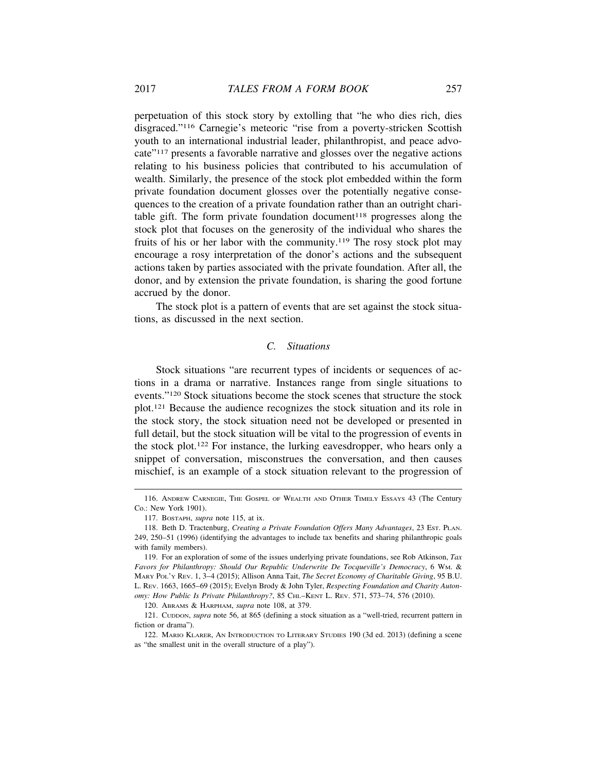perpetuation of this stock story by extolling that "he who dies rich, dies disgraced."116 Carnegie's meteoric "rise from a poverty-stricken Scottish youth to an international industrial leader, philanthropist, and peace advocate"117 presents a favorable narrative and glosses over the negative actions relating to his business policies that contributed to his accumulation of wealth. Similarly, the presence of the stock plot embedded within the form private foundation document glosses over the potentially negative consequences to the creation of a private foundation rather than an outright charitable gift. The form private foundation document<sup>118</sup> progresses along the stock plot that focuses on the generosity of the individual who shares the fruits of his or her labor with the community.119 The rosy stock plot may encourage a rosy interpretation of the donor's actions and the subsequent actions taken by parties associated with the private foundation. After all, the donor, and by extension the private foundation, is sharing the good fortune accrued by the donor.

The stock plot is a pattern of events that are set against the stock situations, as discussed in the next section.

### *C. Situations*

Stock situations "are recurrent types of incidents or sequences of actions in a drama or narrative. Instances range from single situations to events."120 Stock situations become the stock scenes that structure the stock plot.121 Because the audience recognizes the stock situation and its role in the stock story, the stock situation need not be developed or presented in full detail, but the stock situation will be vital to the progression of events in the stock plot.122 For instance, the lurking eavesdropper, who hears only a snippet of conversation, misconstrues the conversation, and then causes mischief, is an example of a stock situation relevant to the progression of

<sup>116.</sup> ANDREW CARNEGIE, THE GOSPEL OF WEALTH AND OTHER TIMELY ESSAYS 43 (The Century Co.: New York 1901).

<sup>117.</sup> BOSTAPH, *supra* note 115, at ix.

<sup>118.</sup> Beth D. Tractenburg, *Creating a Private Foundation Offers Many Advantages*, 23 EST. PLAN. 249, 250–51 (1996) (identifying the advantages to include tax benefits and sharing philanthropic goals with family members).

<sup>119.</sup> For an exploration of some of the issues underlying private foundations, see Rob Atkinson, *Tax Favors for Philanthropy: Should Our Republic Underwrite De Tocqueville's Democracy*, 6 WM. & MARY POL'Y REV. 1, 3–4 (2015); Allison Anna Tait, *The Secret Economy of Charitable Giving*, 95 B.U. L. REV. 1663, 1665–69 (2015); Evelyn Brody & John Tyler, *Respecting Foundation and Charity Autonomy: How Public Is Private Philanthropy?*, 85 CHI.–KENT L. REV. 571, 573–74, 576 (2010).

<sup>120.</sup> ABRAMS & HARPHAM, *supra* note 108, at 379.

<sup>121.</sup> CUDDON, *supra* note 56, at 865 (defining a stock situation as a "well-tried, recurrent pattern in fiction or drama").

<sup>122.</sup> MARIO KLARER, AN INTRODUCTION TO LITERARY STUDIES 190 (3d ed. 2013) (defining a scene as "the smallest unit in the overall structure of a play").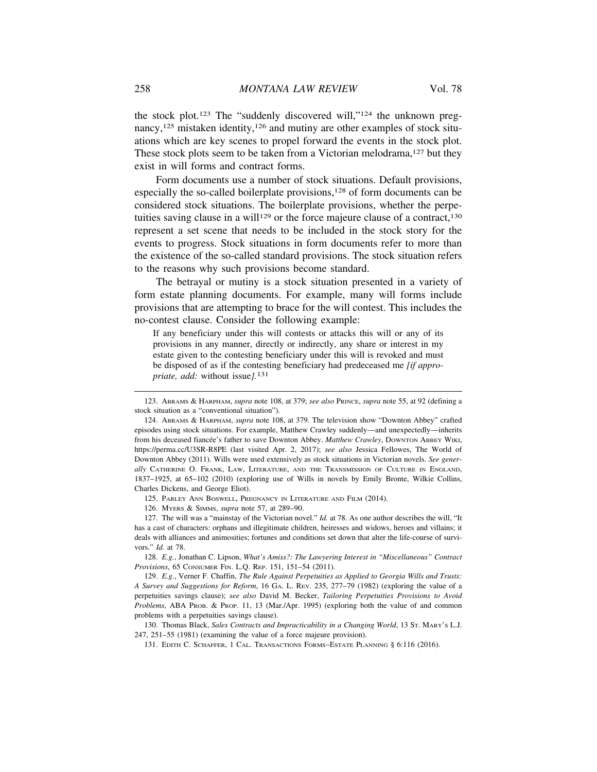the stock plot.123 The "suddenly discovered will,"124 the unknown pregnancy,<sup>125</sup> mistaken identity,<sup>126</sup> and mutiny are other examples of stock situations which are key scenes to propel forward the events in the stock plot. These stock plots seem to be taken from a Victorian melodrama,<sup>127</sup> but they exist in will forms and contract forms.

Form documents use a number of stock situations. Default provisions, especially the so-called boilerplate provisions,<sup>128</sup> of form documents can be considered stock situations. The boilerplate provisions, whether the perpetuities saving clause in a will<sup>129</sup> or the force majeure clause of a contract,<sup>130</sup> represent a set scene that needs to be included in the stock story for the events to progress. Stock situations in form documents refer to more than the existence of the so-called standard provisions. The stock situation refers to the reasons why such provisions become standard.

The betrayal or mutiny is a stock situation presented in a variety of form estate planning documents. For example, many will forms include provisions that are attempting to brace for the will contest. This includes the no-contest clause. Consider the following example:

If any beneficiary under this will contests or attacks this will or any of its provisions in any manner, directly or indirectly, any share or interest in my estate given to the contesting beneficiary under this will is revoked and must be disposed of as if the contesting beneficiary had predeceased me *[if appropriate, add:* without issue*].*131

125. PARLEY ANN BOSWELL, PREGNANCY IN LITERATURE AND FILM (2014).

126. MYERS & SIMMS, *supra* note 57, at 289–90.

127. The will was a "mainstay of the Victorian novel." *Id.* at 78. As one author describes the will, "It has a cast of characters: orphans and illegitimate children, heiresses and widows, heroes and villains; it deals with alliances and animosities; fortunes and conditions set down that alter the life-course of survivors." *Id.* at 78.

128. *E.g.*, Jonathan C. Lipson, *What's Amiss?: The Lawyering Interest in "Miscellaneous" Contract Provisions*, 65 CONSUMER FIN. L.Q. REP. 151, 151–54 (2011).

129. *E.g.*, Verner F. Chaffin, *The Rule Against Perpetuities as Applied to Georgia Wills and Trusts: A Survey and Suggestions for Reform*, 16 GA. L. REV. 235, 277–79 (1982) (exploring the value of a perpetuities savings clause); *see also* David M. Becker, *Tailoring Perpetuities Provisions to Avoid Problems*, ABA PROB. & PROP. 11, 13 (Mar./Apr. 1995) (exploring both the value of and common problems with a perpetuities savings clause).

130. Thomas Black, *Sales Contracts and Impracticability in a Changing World*, 13 ST. MARY'S L.J. 247, 251–55 (1981) (examining the value of a force majeure provision).

131. EDITH C. SCHAFFER, 1 CAL. TRANSACTIONS FORMS–ESTATE PLANNING § 6:116 (2016).

<sup>123.</sup> ABRAMS & HARPHAM, *supra* note 108, at 379; *see also* PRINCE, *supra* note 55, at 92 (defining a stock situation as a "conventional situation").

<sup>124.</sup> ABRAMS & HARPHAM, *supra* note 108, at 379. The television show "Downton Abbey" crafted episodes using stock situations. For example, Matthew Crawley suddenly—and unexpectedly—inherits from his deceased fiancée's father to save Downton Abbey. *Matthew Crawley*, DowNTON ABBEY WIKI, https://perma.cc/U3SR-R8PE (last visited Apr. 2, 2017); *see also* Jessica Fellowes, The World of Downton Abbey (2011). Wills were used extensively as stock situations in Victorian novels. *See generally* CATHERINE O. FRANK, LAW, LITERATURE, AND THE TRANSMISSION OF CULTURE IN ENGLAND, 1837–1925, at 65–102 (2010) (exploring use of Wills in novels by Emily Bronte, Wilkie Collins, Charles Dickens, and George Eliot).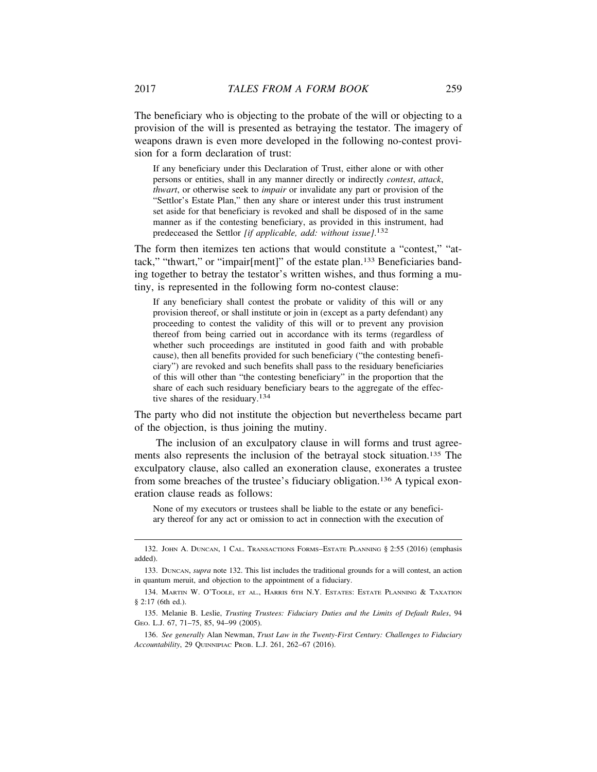The beneficiary who is objecting to the probate of the will or objecting to a provision of the will is presented as betraying the testator. The imagery of weapons drawn is even more developed in the following no-contest provision for a form declaration of trust:

If any beneficiary under this Declaration of Trust, either alone or with other persons or entities, shall in any manner directly or indirectly *contest*, *attack*, *thwart*, or otherwise seek to *impair* or invalidate any part or provision of the "Settlor's Estate Plan," then any share or interest under this trust instrument set aside for that beneficiary is revoked and shall be disposed of in the same manner as if the contesting beneficiary, as provided in this instrument, had predeceased the Settlor *[if applicable, add: without issue]*. 132

The form then itemizes ten actions that would constitute a "contest," "attack," "thwart," or "impair[ment]" of the estate plan.133 Beneficiaries banding together to betray the testator's written wishes, and thus forming a mutiny, is represented in the following form no-contest clause:

If any beneficiary shall contest the probate or validity of this will or any provision thereof, or shall institute or join in (except as a party defendant) any proceeding to contest the validity of this will or to prevent any provision thereof from being carried out in accordance with its terms (regardless of whether such proceedings are instituted in good faith and with probable cause), then all benefits provided for such beneficiary ("the contesting beneficiary") are revoked and such benefits shall pass to the residuary beneficiaries of this will other than "the contesting beneficiary" in the proportion that the share of each such residuary beneficiary bears to the aggregate of the effective shares of the residuary.134

The party who did not institute the objection but nevertheless became part of the objection, is thus joining the mutiny.

The inclusion of an exculpatory clause in will forms and trust agreements also represents the inclusion of the betrayal stock situation.135 The exculpatory clause, also called an exoneration clause, exonerates a trustee from some breaches of the trustee's fiduciary obligation.136 A typical exoneration clause reads as follows:

None of my executors or trustees shall be liable to the estate or any beneficiary thereof for any act or omission to act in connection with the execution of

<sup>132.</sup> JOHN A. DUNCAN, 1 CAL. TRANSACTIONS FORMS–ESTATE PLANNING § 2:55 (2016) (emphasis added).

<sup>133.</sup> DUNCAN, *supra* note 132. This list includes the traditional grounds for a will contest, an action in quantum meruit, and objection to the appointment of a fiduciary.

<sup>134.</sup> MARTIN W. O'TOOLE, ET AL., HARRIS 6TH N.Y. ESTATES: ESTATE PLANNING & TAXATION § 2:17 (6th ed.).

<sup>135.</sup> Melanie B. Leslie, *Trusting Trustees: Fiduciary Duties and the Limits of Default Rules*, 94 GEO. L.J. 67, 71–75, 85, 94–99 (2005).

<sup>136.</sup> *See generally* Alan Newman, *Trust Law in the Twenty-First Century: Challenges to Fiduciary Accountability*, 29 QUINNIPIAC PROB. L.J. 261, 262–67 (2016).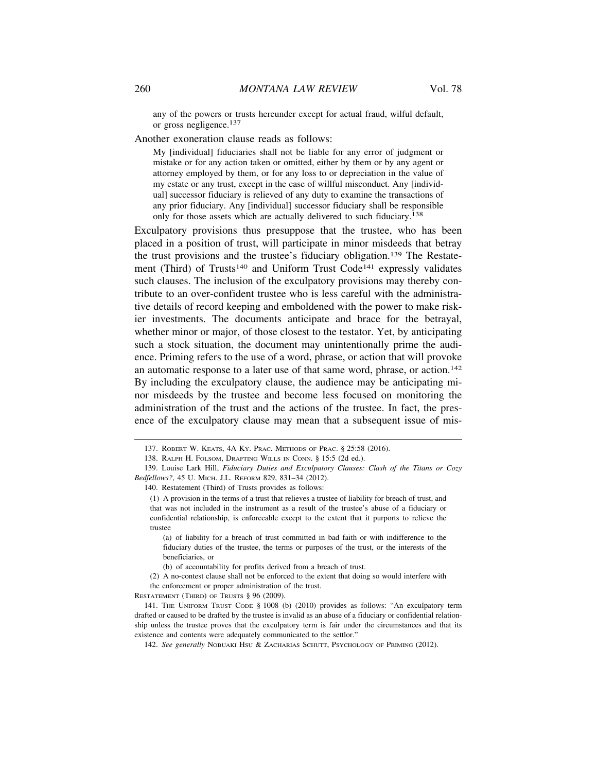any of the powers or trusts hereunder except for actual fraud, wilful default, or gross negligence.137

Another exoneration clause reads as follows:

My [individual] fiduciaries shall not be liable for any error of judgment or mistake or for any action taken or omitted, either by them or by any agent or attorney employed by them, or for any loss to or depreciation in the value of my estate or any trust, except in the case of willful misconduct. Any [individual] successor fiduciary is relieved of any duty to examine the transactions of any prior fiduciary. Any [individual] successor fiduciary shall be responsible only for those assets which are actually delivered to such fiduciary.138

Exculpatory provisions thus presuppose that the trustee, who has been placed in a position of trust, will participate in minor misdeeds that betray the trust provisions and the trustee's fiduciary obligation.139 The Restatement (Third) of Trusts<sup>140</sup> and Uniform Trust Code<sup>141</sup> expressly validates such clauses. The inclusion of the exculpatory provisions may thereby contribute to an over-confident trustee who is less careful with the administrative details of record keeping and emboldened with the power to make riskier investments. The documents anticipate and brace for the betrayal, whether minor or major, of those closest to the testator. Yet, by anticipating such a stock situation, the document may unintentionally prime the audience. Priming refers to the use of a word, phrase, or action that will provoke an automatic response to a later use of that same word, phrase, or action.<sup>142</sup> By including the exculpatory clause, the audience may be anticipating minor misdeeds by the trustee and become less focused on monitoring the administration of the trust and the actions of the trustee. In fact, the presence of the exculpatory clause may mean that a subsequent issue of mis-

RESTATEMENT (THIRD) OF TRUSTS § 96 (2009).

<sup>137.</sup> ROBERT W. KEATS, 4A KY. PRAC. METHODS OF PRAC. § 25:58 (2016).

<sup>138.</sup> RALPH H. FOLSOM, DRAFTING WILLS IN CONN. § 15:5 (2d ed.).

<sup>139.</sup> Louise Lark Hill, *Fiduciary Duties and Exculpatory Clauses: Clash of the Titans or Cozy Bedfellows?*, 45 U. MICH. J.L. REFORM 829, 831–34 (2012).

<sup>140.</sup> Restatement (Third) of Trusts provides as follows:

<sup>(1)</sup> A provision in the terms of a trust that relieves a trustee of liability for breach of trust, and that was not included in the instrument as a result of the trustee's abuse of a fiduciary or confidential relationship, is enforceable except to the extent that it purports to relieve the trustee

<sup>(</sup>a) of liability for a breach of trust committed in bad faith or with indifference to the fiduciary duties of the trustee, the terms or purposes of the trust, or the interests of the beneficiaries, or

<sup>(</sup>b) of accountability for profits derived from a breach of trust.

<sup>(2)</sup> A no-contest clause shall not be enforced to the extent that doing so would interfere with the enforcement or proper administration of the trust.

<sup>141.</sup> THE UNIFORM TRUST CODE § 1008 (b) (2010) provides as follows: "An exculpatory term drafted or caused to be drafted by the trustee is invalid as an abuse of a fiduciary or confidential relationship unless the trustee proves that the exculpatory term is fair under the circumstances and that its existence and contents were adequately communicated to the settlor."

<sup>142.</sup> See generally NOBUAKI HSU & ZACHARIAS SCHUTT, PSYCHOLOGY OF PRIMING (2012).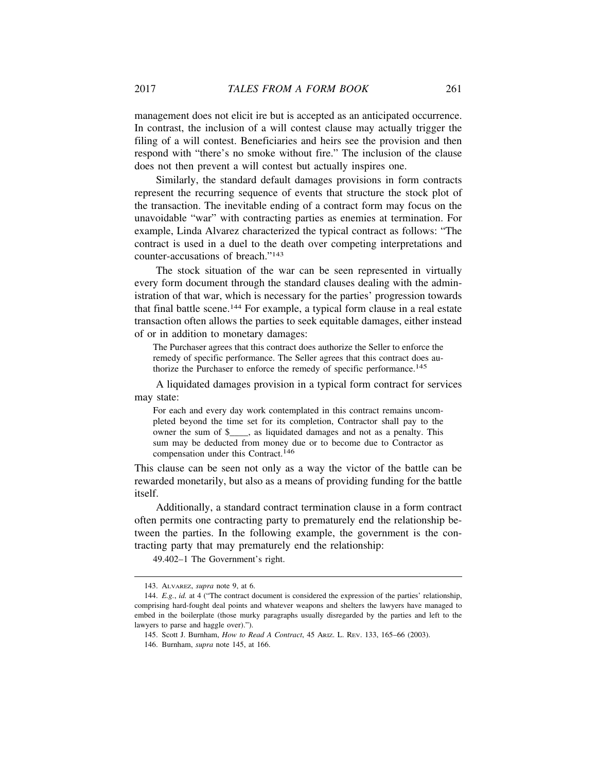management does not elicit ire but is accepted as an anticipated occurrence. In contrast, the inclusion of a will contest clause may actually trigger the filing of a will contest. Beneficiaries and heirs see the provision and then respond with "there's no smoke without fire." The inclusion of the clause does not then prevent a will contest but actually inspires one.

Similarly, the standard default damages provisions in form contracts represent the recurring sequence of events that structure the stock plot of the transaction. The inevitable ending of a contract form may focus on the unavoidable "war" with contracting parties as enemies at termination. For example, Linda Alvarez characterized the typical contract as follows: "The contract is used in a duel to the death over competing interpretations and counter-accusations of breach."143

The stock situation of the war can be seen represented in virtually every form document through the standard clauses dealing with the administration of that war, which is necessary for the parties' progression towards that final battle scene.144 For example, a typical form clause in a real estate transaction often allows the parties to seek equitable damages, either instead of or in addition to monetary damages:

The Purchaser agrees that this contract does authorize the Seller to enforce the remedy of specific performance. The Seller agrees that this contract does authorize the Purchaser to enforce the remedy of specific performance.<sup>145</sup>

A liquidated damages provision in a typical form contract for services may state:

For each and every day work contemplated in this contract remains uncompleted beyond the time set for its completion, Contractor shall pay to the owner the sum of \$\_\_\_\_, as liquidated damages and not as a penalty. This sum may be deducted from money due or to become due to Contractor as compensation under this Contract.146

This clause can be seen not only as a way the victor of the battle can be rewarded monetarily, but also as a means of providing funding for the battle itself.

Additionally, a standard contract termination clause in a form contract often permits one contracting party to prematurely end the relationship between the parties. In the following example, the government is the contracting party that may prematurely end the relationship:

49.402–1 The Government's right.

<sup>143.</sup> ALVAREZ, *supra* note 9, at 6.

<sup>144.</sup> *E.g.*, *id.* at 4 ("The contract document is considered the expression of the parties' relationship, comprising hard-fought deal points and whatever weapons and shelters the lawyers have managed to embed in the boilerplate (those murky paragraphs usually disregarded by the parties and left to the lawyers to parse and haggle over).").

<sup>145.</sup> Scott J. Burnham, *How to Read A Contract*, 45 ARIZ. L. REV. 133, 165–66 (2003).

<sup>146.</sup> Burnham, *supra* note 145, at 166.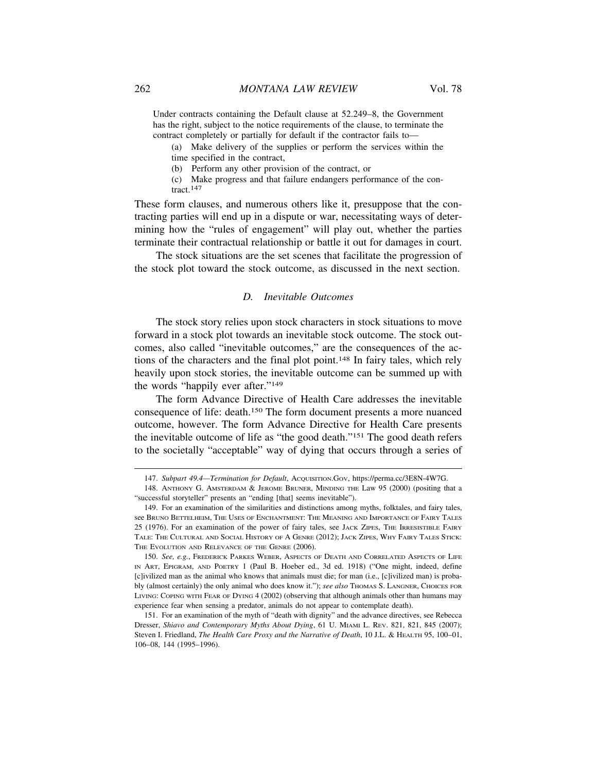Under contracts containing the Default clause at 52.249–8, the Government has the right, subject to the notice requirements of the clause, to terminate the contract completely or partially for default if the contractor fails to—

(a) Make delivery of the supplies or perform the services within the time specified in the contract,

(b) Perform any other provision of the contract, or

(c) Make progress and that failure endangers performance of the contract.<sup>147</sup>

These form clauses, and numerous others like it, presuppose that the contracting parties will end up in a dispute or war, necessitating ways of determining how the "rules of engagement" will play out, whether the parties terminate their contractual relationship or battle it out for damages in court.

The stock situations are the set scenes that facilitate the progression of the stock plot toward the stock outcome, as discussed in the next section.

# *D. Inevitable Outcomes*

The stock story relies upon stock characters in stock situations to move forward in a stock plot towards an inevitable stock outcome. The stock outcomes, also called "inevitable outcomes," are the consequences of the actions of the characters and the final plot point.148 In fairy tales, which rely heavily upon stock stories, the inevitable outcome can be summed up with the words "happily ever after."149

The form Advance Directive of Health Care addresses the inevitable consequence of life: death.150 The form document presents a more nuanced outcome, however. The form Advance Directive for Health Care presents the inevitable outcome of life as "the good death."151 The good death refers to the societally "acceptable" way of dying that occurs through a series of

<sup>147.</sup> *Subpart 49.4—Termination for Default*, ACQUISITION.GOV, https://perma.cc/3E8N-4W7G.

<sup>148.</sup> ANTHONY G. AMSTERDAM & JEROME BRUNER, MINDING THE Law 95 (2000) (positing that a "successful storyteller" presents an "ending [that] seems inevitable").

<sup>149.</sup> For an examination of the similarities and distinctions among myths, folktales, and fairy tales, see BRUNO BETTELHEIM, THE USES OF ENCHANTMENT: THE MEANING AND IMPORTANCE OF FAIRY TALES 25 (1976). For an examination of the power of fairy tales, see JACK ZIPES, THE IRRESISTIBLE FAIRY TALE: THE CULTURAL AND SOCIAL HISTORY OF A GENRE (2012); JACK ZIPES, WHY FAIRY TALES STICK: THE EVOLUTION AND RELEVANCE OF THE GENRE (2006).

<sup>150.</sup> *See, e.g.*, FREDERICK PARKES WEBER, ASPECTS OF DEATH AND CORRELATED ASPECTS OF LIFE IN ART, EPIGRAM, AND POETRY 1 (Paul B. Hoeber ed., 3d ed. 1918) ("One might, indeed, define [c]ivilized man as the animal who knows that animals must die; for man (i.e., [c]ivilized man) is probably (almost certainly) the only animal who does know it."); *see also* THOMAS S. LANGNER, CHOICES FOR LIVING: COPING WITH FEAR OF DYING 4 (2002) (observing that although animals other than humans may experience fear when sensing a predator, animals do not appear to contemplate death).

<sup>151.</sup> For an examination of the myth of "death with dignity" and the advance directives, see Rebecca Dresser, *Shiavo and Contemporary Myths About Dying*, 61 U. MIAMI L. REV. 821, 821, 845 (2007); Steven I. Friedland, *The Health Care Proxy and the Narrative of Death*, 10 J.L. & HEALTH 95, 100–01, 106–08, 144 (1995–1996).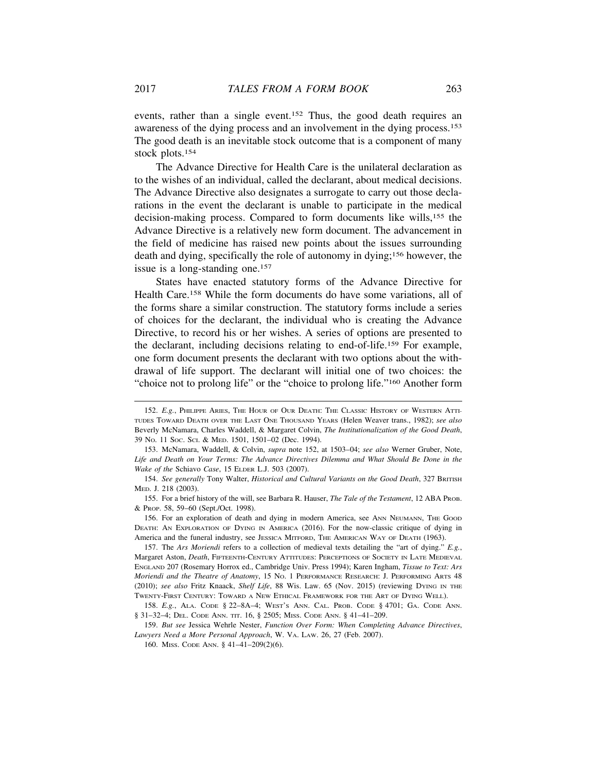events, rather than a single event.<sup>152</sup> Thus, the good death requires an awareness of the dying process and an involvement in the dying process.153 The good death is an inevitable stock outcome that is a component of many stock plots.154

The Advance Directive for Health Care is the unilateral declaration as to the wishes of an individual, called the declarant, about medical decisions. The Advance Directive also designates a surrogate to carry out those declarations in the event the declarant is unable to participate in the medical decision-making process. Compared to form documents like wills,155 the Advance Directive is a relatively new form document. The advancement in the field of medicine has raised new points about the issues surrounding death and dying, specifically the role of autonomy in dying;156 however, the issue is a long-standing one.157

States have enacted statutory forms of the Advance Directive for Health Care.158 While the form documents do have some variations, all of the forms share a similar construction. The statutory forms include a series of choices for the declarant, the individual who is creating the Advance Directive, to record his or her wishes. A series of options are presented to the declarant, including decisions relating to end-of-life.159 For example, one form document presents the declarant with two options about the withdrawal of life support. The declarant will initial one of two choices: the "choice not to prolong life" or the "choice to prolong life."160 Another form

157. The *Ars Moriendi* refers to a collection of medieval texts detailing the "art of dying." *E.g.*, Margaret Aston, *Death*, FIFTEENTH-CENTURY ATTITUDES: PERCEPTIONS OF SOCIETY IN LATE MEDIEVAL ENGLAND 207 (Rosemary Horrox ed., Cambridge Univ. Press 1994); Karen Ingham, *Tissue to Text: Ars Moriendi and the Theatre of Anatomy*, 15 NO. 1 PERFORMANCE RESEARCH: J. PERFORMING ARTS 48 (2010); *see also* Fritz Knaack, *Shelf Life*, 88 Wis. Law. 65 (Nov. 2015) (reviewing DYING IN THE TWENTY-FIRST CENTURY: TOWARD A NEW ETHICAL FRAMEWORK FOR THE ART OF DYING WELL).

159. *But see* Jessica Wehrle Nester, *Function Over Form: When Completing Advance Directives*, *Lawyers Need a More Personal Approach*, W. VA. LAW. 26, 27 (Feb. 2007).

160. MISS. CODE ANN. § 41–41–209(2)(6).

<sup>152.</sup> *E.g.*, PHILIPPE ARIES, THE HOUR OF OUR DEATH: THE CLASSIC HISTORY OF WESTERN ATTI-TUDES TOWARD DEATH OVER THE LAST ONE THOUSAND YEARS (Helen Weaver trans., 1982); *see also* Beverly McNamara, Charles Waddell, & Margaret Colvin, *The Institutionalization of the Good Death*, 39 NO. 11 SOC. SCI. & MED. 1501, 1501–02 (Dec. 1994).

<sup>153.</sup> McNamara, Waddell, & Colvin, *supra* note 152, at 1503–04; *see also* Werner Gruber, Note, *Life and Death on Your Terms: The Advance Directives Dilemma and What Should Be Done in the Wake of the* Schiavo *Case*, 15 ELDER L.J. 503 (2007).

<sup>154.</sup> *See generally* Tony Walter, *Historical and Cultural Variants on the Good Death*, 327 BRITISH MED. J. 218 (2003).

<sup>155.</sup> For a brief history of the will, see Barbara R. Hauser, *The Tale of the Testament*, 12 ABA PROB. & PROP. 58, 59–60 (Sept./Oct. 1998).

<sup>156.</sup> For an exploration of death and dying in modern America, see ANN NEUMANN, THE GOOD DEATH: AN EXPLORATION OF DYING IN AMERICA (2016). For the now-classic critique of dying in America and the funeral industry, see JESSICA MITFORD, THE AMERICAN WAY OF DEATH (1963).

<sup>158.</sup> *E.g.*, ALA. CODE § 22–8A–4; WEST'S ANN. CAL. PROB. CODE § 4701; GA. CODE ANN. § 31–32–4; DEL. CODE ANN. TIT. 16, § 2505; MISS. CODE ANN. § 41–41–209.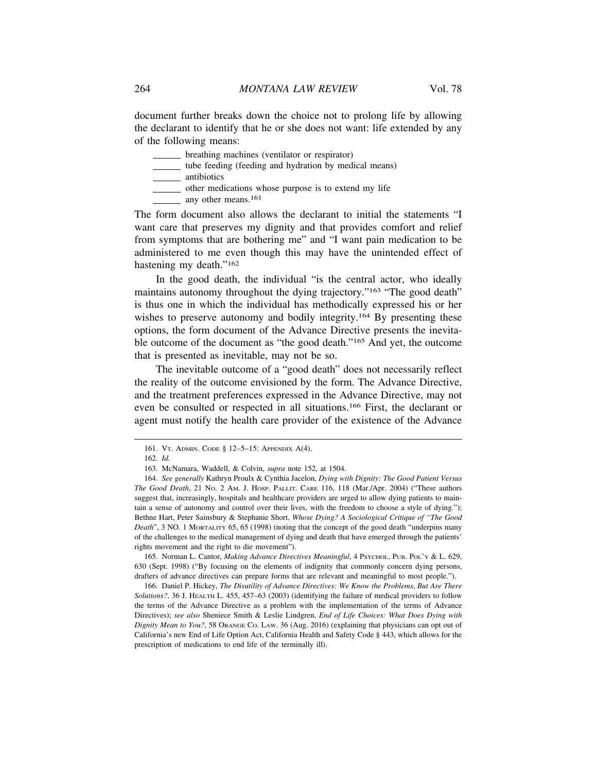document further breaks down the choice not to prolong life by allowing the declarant to identify that he or she does not want: life extended by any of the following means:

breathing machines (ventilator or respirator)

tube feeding (feeding and hydration by medical means)

antibiotics

other medications whose purpose is to extend my life

 $\mu$  any other means.<sup>161</sup>

The form document also allows the declarant to initial the statements "I want care that preserves my dignity and that provides comfort and relief from symptoms that are bothering me" and "I want pain medication to be administered to me even though this may have the unintended effect of hastening my death."<sup>162</sup>

In the good death, the individual "is the central actor, who ideally maintains autonomy throughout the dying trajectory."163 "The good death" is thus one in which the individual has methodically expressed his or her wishes to preserve autonomy and bodily integrity.<sup>164</sup> By presenting these options, the form document of the Advance Directive presents the inevitable outcome of the document as "the good death."165 And yet, the outcome that is presented as inevitable, may not be so.

The inevitable outcome of a "good death" does not necessarily reflect the reality of the outcome envisioned by the form. The Advance Directive, and the treatment preferences expressed in the Advance Directive, may not even be consulted or respected in all situations.166 First, the declarant or agent must notify the health care provider of the existence of the Advance

165. Norman L. Cantor, *Making Advance Directives Meaningful*, 4 PSYCHOL. PUB. POL'Y & L. 629, 630 (Sept. 1998) ("By focusing on the elements of indignity that commonly concern dying persons, drafters of advance directives can prepare forms that are relevant and meaningful to most people.").

166. Daniel P. Hickey, *The Disutility of Advance Directives: We Know the Problems*, *But Are There Solutions?*, 36 J. HEALTH L. 455, 457–63 (2003) (identifying the failure of medical providers to follow the terms of the Advance Directive as a problem with the implementation of the terms of Advance Directives); *see also* Sheniece Smith & Leslie Lindgren, *End of Life Choices: What Does Dying with Dignity Mean to You?*, 58 ORANGE CO. LAW. 36 (Aug. 2016) (explaining that physicians can opt out of California's new End of Life Option Act, California Health and Safety Code § 443, which allows for the prescription of medications to end life of the terminally ill).

<sup>161.</sup> VT. ADMIN. CODE § 12–5–15: APPENDIX A(4).

<sup>162.</sup> *Id.*

<sup>163.</sup> McNamara, Waddell, & Colvin, *supra* note 152, at 1504.

<sup>164.</sup> *See generally* Kathryn Proulx & Cynthia Jacelon, *Dying with Dignity: The Good Patient Versus The Good Death*, 21 NO. 2 AM. J. HOSP. PALLIT. CARE 116, 118 (Mar./Apr. 2004) ("These authors suggest that, increasingly, hospitals and healthcare providers are urged to allow dying patients to maintain a sense of autonomy and control over their lives, with the freedom to choose a style of dying."); Bethne Hart, Peter Sainsbury & Stephanie Short, *Whose Dying? A Sociological Critique of "The Good Death*", 3 NO. 1 MORTALITY 65, 65 (1998) (noting that the concept of the good death "underpins many of the challenges to the medical management of dying and death that have emerged through the patients' rights movement and the right to die movement").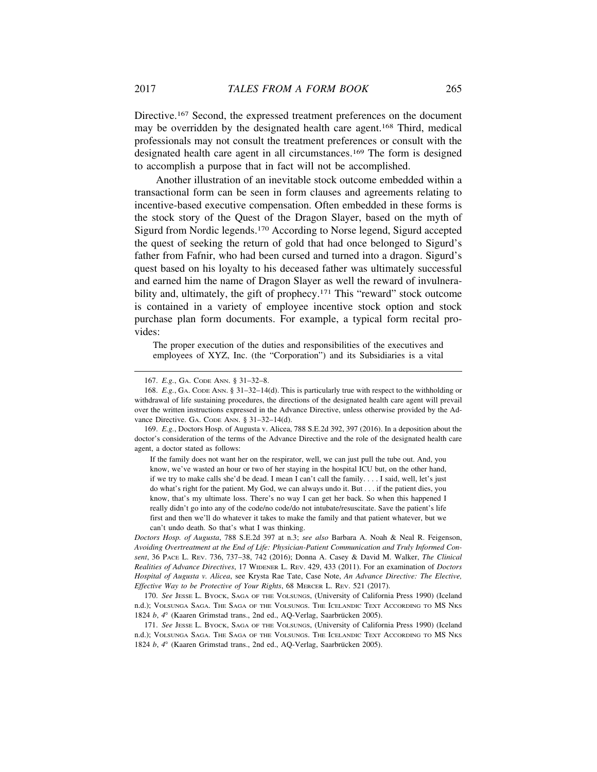Directive.167 Second, the expressed treatment preferences on the document may be overridden by the designated health care agent.168 Third, medical professionals may not consult the treatment preferences or consult with the designated health care agent in all circumstances.169 The form is designed to accomplish a purpose that in fact will not be accomplished.

Another illustration of an inevitable stock outcome embedded within a transactional form can be seen in form clauses and agreements relating to incentive-based executive compensation. Often embedded in these forms is the stock story of the Quest of the Dragon Slayer, based on the myth of Sigurd from Nordic legends.170 According to Norse legend, Sigurd accepted the quest of seeking the return of gold that had once belonged to Sigurd's father from Fafnir, who had been cursed and turned into a dragon. Sigurd's quest based on his loyalty to his deceased father was ultimately successful and earned him the name of Dragon Slayer as well the reward of invulnerability and, ultimately, the gift of prophecy.<sup>171</sup> This "reward" stock outcome is contained in a variety of employee incentive stock option and stock purchase plan form documents. For example, a typical form recital provides:

The proper execution of the duties and responsibilities of the executives and employees of XYZ, Inc. (the "Corporation") and its Subsidiaries is a vital

169. *E.g.*, Doctors Hosp. of Augusta v. Alicea, 788 S.E.2d 392, 397 (2016). In a deposition about the doctor's consideration of the terms of the Advance Directive and the role of the designated health care agent, a doctor stated as follows:

If the family does not want her on the respirator, well, we can just pull the tube out. And, you know, we've wasted an hour or two of her staying in the hospital ICU but, on the other hand, if we try to make calls she'd be dead. I mean I can't call the family. . . . I said, well, let's just do what's right for the patient. My God, we can always undo it. But . . . if the patient dies, you know, that's my ultimate loss. There's no way I can get her back. So when this happened I really didn't go into any of the code/no code/do not intubate/resuscitate. Save the patient's life first and then we'll do whatever it takes to make the family and that patient whatever, but we can't undo death. So that's what I was thinking.

*Doctors Hosp. of Augusta*, 788 S.E.2d 397 at n.3; *see also* Barbara A. Noah & Neal R. Feigenson, *Avoiding Overtreatment at the End of Life: Physician-Patient Communication and Truly Informed Consent*, 36 PACE L. REV. 736, 737–38, 742 (2016); Donna A. Casey & David M. Walker, *The Clinical Realities of Advance Directives*, 17 WIDENER L. REV. 429, 433 (2011). For an examination of *Doctors Hospital of Augusta v. Alicea*, see Krysta Rae Tate, Case Note, *An Advance Directive: The Elective, Effective Way to be Protective of Your Rights*, 68 MERCER L. REV. 521 (2017).

170. *See* JESSE L. BYOCK, SAGA OF THE VOLSUNGS, (University of California Press 1990) (Iceland n.d.); VOLSUNGA SAGA. THE SAGA OF THE VOLSUNGS. THE ICELANDIC TEXT ACCORDING TO MS NKS 1824 *b*,  $4^{\circ}$  (Kaaren Grimstad trans., 2nd ed., AQ-Verlag, Saarbrücken 2005).

171. *See* JESSE L. BYOCK, SAGA OF THE VOLSUNGS, (University of California Press 1990) (Iceland n.d.); VOLSUNGA SAGA. THE SAGA OF THE VOLSUNGS. THE ICELANDIC TEXT ACCORDING TO MS NKS 1824 *b*,  $4^{\circ}$  (Kaaren Grimstad trans., 2nd ed., AQ-Verlag, Saarbrücken 2005).

<sup>167.</sup> *E.g.*, GA. CODE ANN. § 31–32–8.

<sup>168.</sup> *E.g.*, GA. CODE ANN. § 31–32–14(d). This is particularly true with respect to the withholding or withdrawal of life sustaining procedures, the directions of the designated health care agent will prevail over the written instructions expressed in the Advance Directive, unless otherwise provided by the Advance Directive. GA. CODE ANN. § 31-32-14(d).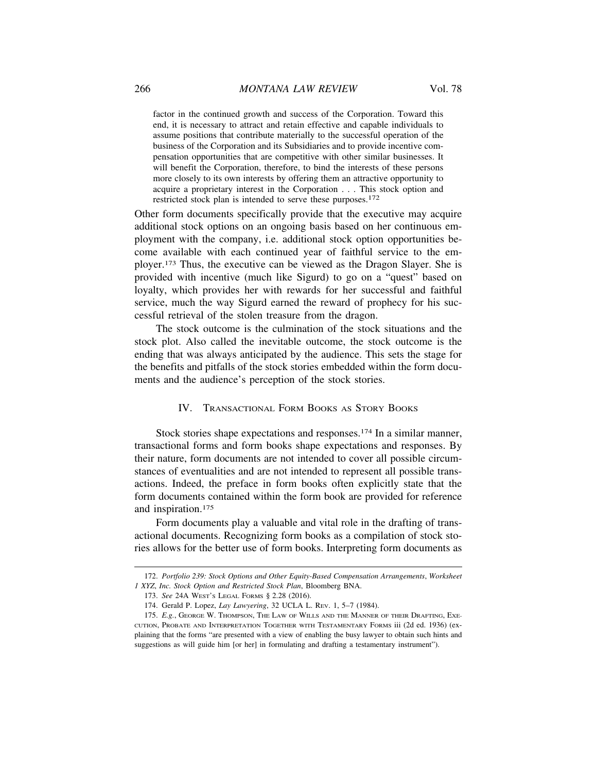factor in the continued growth and success of the Corporation. Toward this end, it is necessary to attract and retain effective and capable individuals to assume positions that contribute materially to the successful operation of the business of the Corporation and its Subsidiaries and to provide incentive compensation opportunities that are competitive with other similar businesses. It will benefit the Corporation, therefore, to bind the interests of these persons more closely to its own interests by offering them an attractive opportunity to acquire a proprietary interest in the Corporation . . . This stock option and restricted stock plan is intended to serve these purposes.172

Other form documents specifically provide that the executive may acquire additional stock options on an ongoing basis based on her continuous employment with the company, i.e. additional stock option opportunities become available with each continued year of faithful service to the employer.173 Thus, the executive can be viewed as the Dragon Slayer. She is provided with incentive (much like Sigurd) to go on a "quest" based on loyalty, which provides her with rewards for her successful and faithful service, much the way Sigurd earned the reward of prophecy for his successful retrieval of the stolen treasure from the dragon.

The stock outcome is the culmination of the stock situations and the stock plot. Also called the inevitable outcome, the stock outcome is the ending that was always anticipated by the audience. This sets the stage for the benefits and pitfalls of the stock stories embedded within the form documents and the audience's perception of the stock stories.

# IV. TRANSACTIONAL FORM BOOKS AS STORY BOOKS

Stock stories shape expectations and responses.174 In a similar manner, transactional forms and form books shape expectations and responses. By their nature, form documents are not intended to cover all possible circumstances of eventualities and are not intended to represent all possible transactions. Indeed, the preface in form books often explicitly state that the form documents contained within the form book are provided for reference and inspiration.175

Form documents play a valuable and vital role in the drafting of transactional documents. Recognizing form books as a compilation of stock stories allows for the better use of form books. Interpreting form documents as

<sup>172.</sup> *Portfolio 239: Stock Options and Other Equity-Based Compensation Arrangements*, *Worksheet 1 XYZ*, *Inc. Stock Option and Restricted Stock Plan*, Bloomberg BNA.

<sup>173.</sup> *See* 24A WEST'S LEGAL FORMS § 2.28 (2016).

<sup>174.</sup> Gerald P. Lopez, *Lay Lawyering*, 32 UCLA L. REV. 1, 5–7 (1984).

<sup>175.</sup> *E.g.*, GEORGE W. THOMPSON, THE LAW OF WILLS AND THE MANNER OF THEIR DRAFTING, EXE-CUTION, PROBATE AND INTERPRETATION TOGETHER WITH TESTAMENTARY FORMS iii (2d ed. 1936) (explaining that the forms "are presented with a view of enabling the busy lawyer to obtain such hints and suggestions as will guide him [or her] in formulating and drafting a testamentary instrument").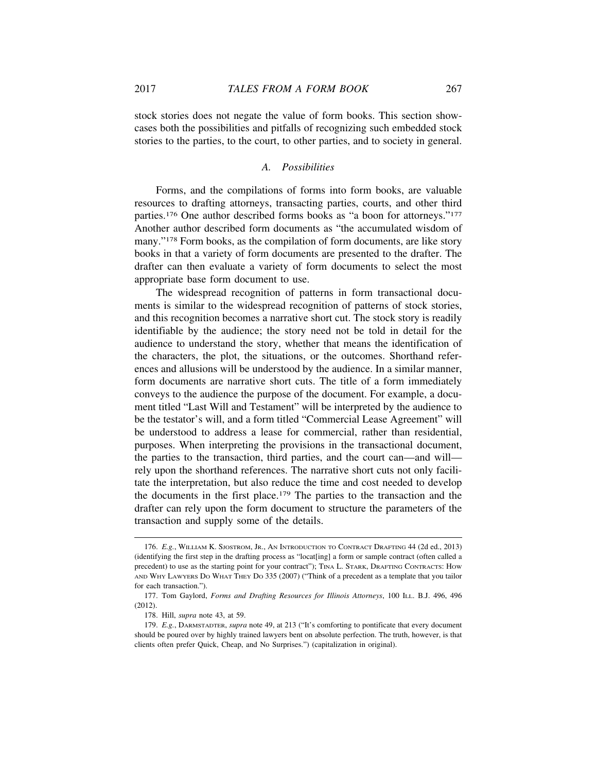stock stories does not negate the value of form books. This section showcases both the possibilities and pitfalls of recognizing such embedded stock stories to the parties, to the court, to other parties, and to society in general.

# *A. Possibilities*

Forms, and the compilations of forms into form books, are valuable resources to drafting attorneys, transacting parties, courts, and other third parties.176 One author described forms books as "a boon for attorneys."177 Another author described form documents as "the accumulated wisdom of many."178 Form books, as the compilation of form documents, are like story books in that a variety of form documents are presented to the drafter. The drafter can then evaluate a variety of form documents to select the most appropriate base form document to use.

The widespread recognition of patterns in form transactional documents is similar to the widespread recognition of patterns of stock stories, and this recognition becomes a narrative short cut. The stock story is readily identifiable by the audience; the story need not be told in detail for the audience to understand the story, whether that means the identification of the characters, the plot, the situations, or the outcomes. Shorthand references and allusions will be understood by the audience. In a similar manner, form documents are narrative short cuts. The title of a form immediately conveys to the audience the purpose of the document. For example, a document titled "Last Will and Testament" will be interpreted by the audience to be the testator's will, and a form titled "Commercial Lease Agreement" will be understood to address a lease for commercial, rather than residential, purposes. When interpreting the provisions in the transactional document, the parties to the transaction, third parties, and the court can—and will rely upon the shorthand references. The narrative short cuts not only facilitate the interpretation, but also reduce the time and cost needed to develop the documents in the first place.179 The parties to the transaction and the drafter can rely upon the form document to structure the parameters of the transaction and supply some of the details.

<sup>176.</sup> *E.g.*, WILLIAM K. SJOSTROM, JR., AN INTRODUCTION TO CONTRACT DRAFTING 44 (2d ed., 2013) (identifying the first step in the drafting process as "locat[ing] a form or sample contract (often called a precedent) to use as the starting point for your contract"); TINA L. STARK, DRAFTING CONTRACTS: HOW AND WHY LAWYERS DO WHAT THEY DO 335 (2007) ("Think of a precedent as a template that you tailor for each transaction.").

<sup>177.</sup> Tom Gaylord, *Forms and Drafting Resources for Illinois Attorneys*, 100 ILL. B.J. 496, 496 (2012).

<sup>178.</sup> Hill, *supra* note 43, at 59.

<sup>179.</sup> *E.g.*, DARMSTADTER, *supra* note 49, at 213 ("It's comforting to pontificate that every document should be poured over by highly trained lawyers bent on absolute perfection. The truth, however, is that clients often prefer Quick, Cheap, and No Surprises.") (capitalization in original).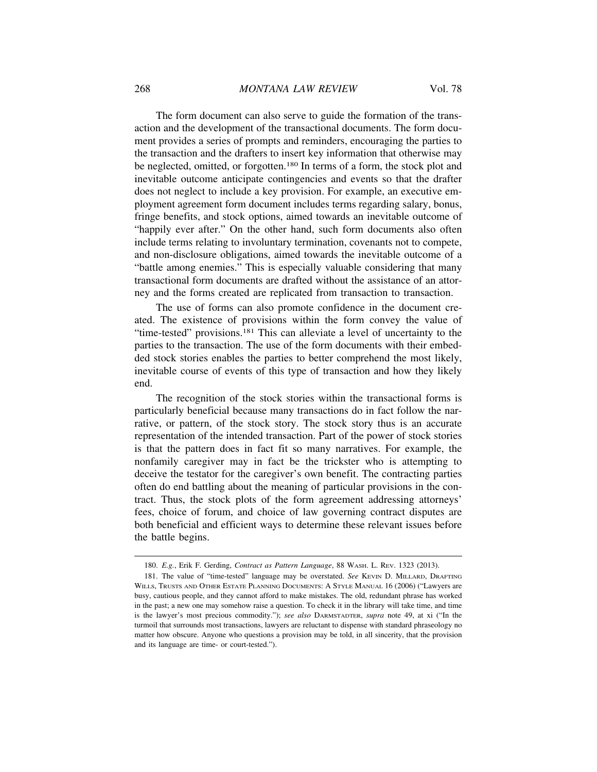The form document can also serve to guide the formation of the transaction and the development of the transactional documents. The form document provides a series of prompts and reminders, encouraging the parties to the transaction and the drafters to insert key information that otherwise may be neglected, omitted, or forgotten.180 In terms of a form, the stock plot and inevitable outcome anticipate contingencies and events so that the drafter does not neglect to include a key provision. For example, an executive employment agreement form document includes terms regarding salary, bonus, fringe benefits, and stock options, aimed towards an inevitable outcome of "happily ever after." On the other hand, such form documents also often include terms relating to involuntary termination, covenants not to compete, and non-disclosure obligations, aimed towards the inevitable outcome of a "battle among enemies." This is especially valuable considering that many transactional form documents are drafted without the assistance of an attorney and the forms created are replicated from transaction to transaction.

The use of forms can also promote confidence in the document created. The existence of provisions within the form convey the value of "time-tested" provisions.181 This can alleviate a level of uncertainty to the parties to the transaction. The use of the form documents with their embedded stock stories enables the parties to better comprehend the most likely, inevitable course of events of this type of transaction and how they likely end.

The recognition of the stock stories within the transactional forms is particularly beneficial because many transactions do in fact follow the narrative, or pattern, of the stock story. The stock story thus is an accurate representation of the intended transaction. Part of the power of stock stories is that the pattern does in fact fit so many narratives. For example, the nonfamily caregiver may in fact be the trickster who is attempting to deceive the testator for the caregiver's own benefit. The contracting parties often do end battling about the meaning of particular provisions in the contract. Thus, the stock plots of the form agreement addressing attorneys' fees, choice of forum, and choice of law governing contract disputes are both beneficial and efficient ways to determine these relevant issues before the battle begins.

<sup>180.</sup> *E.g.*, Erik F. Gerding, *Contract as Pattern Language*, 88 WASH. L. REV. 1323 (2013).

<sup>181.</sup> The value of "time-tested" language may be overstated. *See* KEVIN D. MILLARD, DRAFTING WILLS, TRUSTS AND OTHER ESTATE PLANNING DOCUMENTS: A STYLE MANUAL 16 (2006) ("Lawyers are busy, cautious people, and they cannot afford to make mistakes. The old, redundant phrase has worked in the past; a new one may somehow raise a question. To check it in the library will take time, and time is the lawyer's most precious commodity."); *see also* DARMSTADTER, *supra* note 49, at xi ("In the turmoil that surrounds most transactions, lawyers are reluctant to dispense with standard phraseology no matter how obscure. Anyone who questions a provision may be told, in all sincerity, that the provision and its language are time- or court-tested.").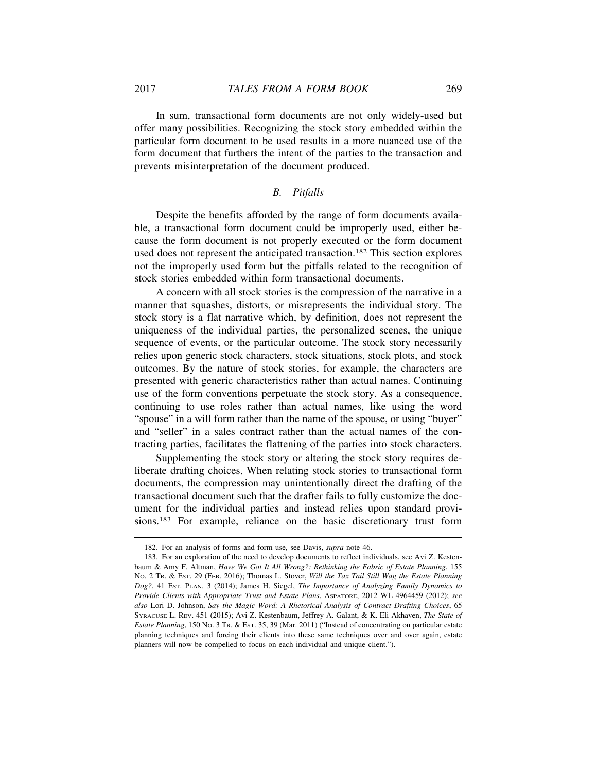In sum, transactional form documents are not only widely-used but offer many possibilities. Recognizing the stock story embedded within the particular form document to be used results in a more nuanced use of the form document that furthers the intent of the parties to the transaction and prevents misinterpretation of the document produced.

# *B. Pitfalls*

Despite the benefits afforded by the range of form documents available, a transactional form document could be improperly used, either because the form document is not properly executed or the form document used does not represent the anticipated transaction.182 This section explores not the improperly used form but the pitfalls related to the recognition of stock stories embedded within form transactional documents.

A concern with all stock stories is the compression of the narrative in a manner that squashes, distorts, or misrepresents the individual story. The stock story is a flat narrative which, by definition, does not represent the uniqueness of the individual parties, the personalized scenes, the unique sequence of events, or the particular outcome. The stock story necessarily relies upon generic stock characters, stock situations, stock plots, and stock outcomes. By the nature of stock stories, for example, the characters are presented with generic characteristics rather than actual names. Continuing use of the form conventions perpetuate the stock story. As a consequence, continuing to use roles rather than actual names, like using the word "spouse" in a will form rather than the name of the spouse, or using "buyer" and "seller" in a sales contract rather than the actual names of the contracting parties, facilitates the flattening of the parties into stock characters.

Supplementing the stock story or altering the stock story requires deliberate drafting choices. When relating stock stories to transactional form documents, the compression may unintentionally direct the drafting of the transactional document such that the drafter fails to fully customize the document for the individual parties and instead relies upon standard provisions.183 For example, reliance on the basic discretionary trust form

<sup>182.</sup> For an analysis of forms and form use, see Davis, *supra* note 46.

<sup>183.</sup> For an exploration of the need to develop documents to reflect individuals, see Avi Z. Kestenbaum & Amy F. Altman, *Have We Got It All Wrong?: Rethinking the Fabric of Estate Planning*, 155 NO. 2 TR. & EST. 29 (FEB. 2016); Thomas L. Stover, *Will the Tax Tail Still Wag the Estate Planning Dog?*, 41 EST. PLAN. 3 (2014); James H. Siegel, *The Importance of Analyzing Family Dynamics to Provide Clients with Appropriate Trust and Estate Plans*, ASPATORE, 2012 WL 4964459 (2012); *see also* Lori D. Johnson, *Say the Magic Word: A Rhetorical Analysis of Contract Drafting Choices*, 65 SYRACUSE L. REV. 451 (2015); Avi Z. Kestenbaum, Jeffrey A. Galant, & K. Eli Akhaven, *The State of Estate Planning*, 150 NO. 3 TR. & EST. 35, 39 (Mar. 2011) ("Instead of concentrating on particular estate planning techniques and forcing their clients into these same techniques over and over again, estate planners will now be compelled to focus on each individual and unique client.").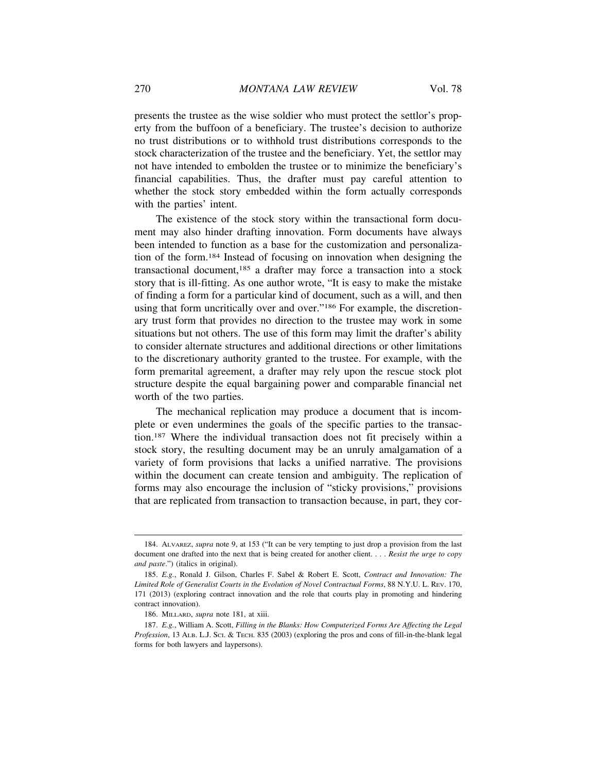presents the trustee as the wise soldier who must protect the settlor's property from the buffoon of a beneficiary. The trustee's decision to authorize no trust distributions or to withhold trust distributions corresponds to the stock characterization of the trustee and the beneficiary. Yet, the settlor may not have intended to embolden the trustee or to minimize the beneficiary's financial capabilities. Thus, the drafter must pay careful attention to whether the stock story embedded within the form actually corresponds with the parties' intent.

The existence of the stock story within the transactional form document may also hinder drafting innovation. Form documents have always been intended to function as a base for the customization and personalization of the form.184 Instead of focusing on innovation when designing the transactional document,185 a drafter may force a transaction into a stock story that is ill-fitting. As one author wrote, "It is easy to make the mistake of finding a form for a particular kind of document, such as a will, and then using that form uncritically over and over."186 For example, the discretionary trust form that provides no direction to the trustee may work in some situations but not others. The use of this form may limit the drafter's ability to consider alternate structures and additional directions or other limitations to the discretionary authority granted to the trustee. For example, with the form premarital agreement, a drafter may rely upon the rescue stock plot structure despite the equal bargaining power and comparable financial net worth of the two parties.

The mechanical replication may produce a document that is incomplete or even undermines the goals of the specific parties to the transaction.187 Where the individual transaction does not fit precisely within a stock story, the resulting document may be an unruly amalgamation of a variety of form provisions that lacks a unified narrative. The provisions within the document can create tension and ambiguity. The replication of forms may also encourage the inclusion of "sticky provisions," provisions that are replicated from transaction to transaction because, in part, they cor-

<sup>184.</sup> ALVAREZ, *supra* note 9, at 153 ("It can be very tempting to just drop a provision from the last document one drafted into the next that is being created for another client. . . . *Resist the urge to copy and paste*.") (italics in original).

<sup>185.</sup> *E.g.*, Ronald J. Gilson, Charles F. Sabel & Robert E. Scott, *Contract and Innovation: The Limited Role of Generalist Courts in the Evolution of Novel Contractual Forms*, 88 N.Y.U. L. REV. 170, 171 (2013) (exploring contract innovation and the role that courts play in promoting and hindering contract innovation).

<sup>186.</sup> MILLARD, *supra* note 181, at xiii.

<sup>187.</sup> *E.g.*, William A. Scott, *Filling in the Blanks: How Computerized Forms Are Affecting the Legal Profession*, 13 ALB. L.J. SCI. & TECH. 835 (2003) (exploring the pros and cons of fill-in-the-blank legal forms for both lawyers and laypersons).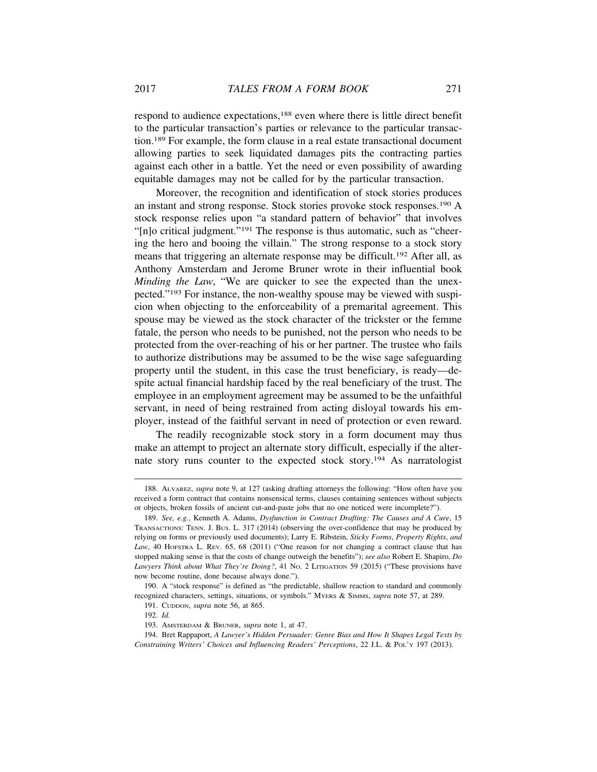respond to audience expectations,188 even where there is little direct benefit to the particular transaction's parties or relevance to the particular transaction.189 For example, the form clause in a real estate transactional document allowing parties to seek liquidated damages pits the contracting parties against each other in a battle. Yet the need or even possibility of awarding equitable damages may not be called for by the particular transaction.

Moreover, the recognition and identification of stock stories produces an instant and strong response. Stock stories provoke stock responses.190 A stock response relies upon "a standard pattern of behavior" that involves "[n]o critical judgment."191 The response is thus automatic, such as "cheering the hero and booing the villain." The strong response to a stock story means that triggering an alternate response may be difficult.192 After all, as Anthony Amsterdam and Jerome Bruner wrote in their influential book *Minding the Law*, "We are quicker to see the expected than the unexpected."193 For instance, the non-wealthy spouse may be viewed with suspicion when objecting to the enforceability of a premarital agreement. This spouse may be viewed as the stock character of the trickster or the femme fatale, the person who needs to be punished, not the person who needs to be protected from the over-reaching of his or her partner. The trustee who fails to authorize distributions may be assumed to be the wise sage safeguarding property until the student, in this case the trust beneficiary, is ready—despite actual financial hardship faced by the real beneficiary of the trust. The employee in an employment agreement may be assumed to be the unfaithful servant, in need of being restrained from acting disloyal towards his employer, instead of the faithful servant in need of protection or even reward.

The readily recognizable stock story in a form document may thus make an attempt to project an alternate story difficult, especially if the alternate story runs counter to the expected stock story.194 As narratologist

<sup>188.</sup> ALVAREZ, *supra* note 9, at 127 (asking drafting attorneys the following: "How often have you received a form contract that contains nonsensical terms, clauses containing sentences without subjects or objects, broken fossils of ancient cut-and-paste jobs that no one noticed were incomplete?").

<sup>189.</sup> *See, e.g.*, Kenneth A. Adams, *Dysfunction in Contract Drafting: The Causes and A Cure*, 15 TRANSACTIONS: TENN. J. BUS. L. 317 (2014) (observing the over-confidence that may be produced by relying on forms or previously used documents); Larry E. Ribstein, *Sticky Forms*, *Property Rights*, *and Law*, 40 HOFSTRA L. REV. 65, 68 (2011) ("One reason for not changing a contract clause that has stopped making sense is that the costs of change outweigh the benefits"); *see also* Robert E. Shapiro, *Do Lawyers Think about What They're Doing?*, 41 No. 2 LITIGATION 59 (2015) ("These provisions have now become routine, done because always done.").

<sup>190.</sup> A "stock response" is defined as "the predictable, shallow reaction to standard and commonly recognized characters, settings, situations, or symbols." MYERS & SIMMS, *supra* note 57, at 289.

<sup>191.</sup> CUDDON, *supra* note 56, at 865.

<sup>192.</sup> *Id.*

<sup>193.</sup> AMSTERDAM & BRUNER, *supra* note 1, at 47.

<sup>194.</sup> Bret Rappaport, *A Lawyer's Hidden Persuader: Genre Bias and How It Shapes Legal Texts by Constraining Writers' Choices and Influencing Readers' Perceptions*, 22 J.L. & POL'Y 197 (2013).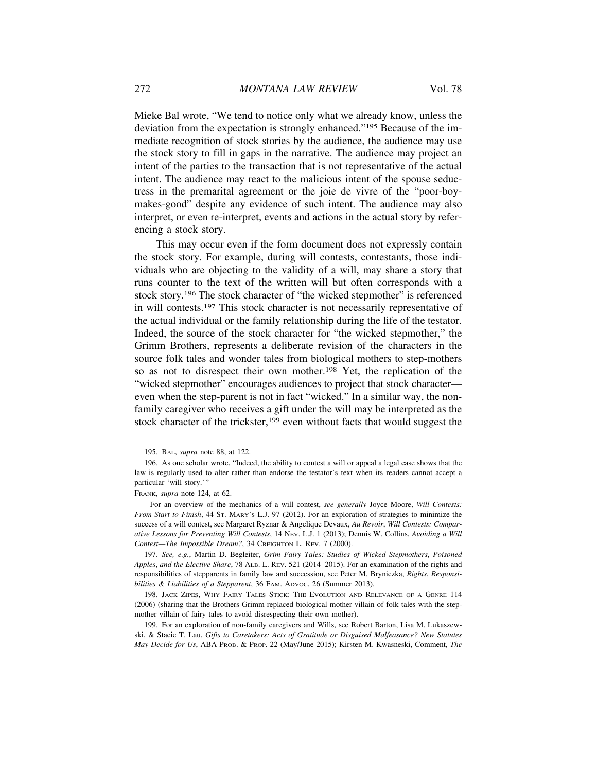Mieke Bal wrote, "We tend to notice only what we already know, unless the deviation from the expectation is strongly enhanced."195 Because of the immediate recognition of stock stories by the audience, the audience may use the stock story to fill in gaps in the narrative. The audience may project an intent of the parties to the transaction that is not representative of the actual intent. The audience may react to the malicious intent of the spouse seductress in the premarital agreement or the joie de vivre of the "poor-boymakes-good" despite any evidence of such intent. The audience may also interpret, or even re-interpret, events and actions in the actual story by referencing a stock story.

This may occur even if the form document does not expressly contain the stock story. For example, during will contests, contestants, those individuals who are objecting to the validity of a will, may share a story that runs counter to the text of the written will but often corresponds with a stock story.196 The stock character of "the wicked stepmother" is referenced in will contests.197 This stock character is not necessarily representative of the actual individual or the family relationship during the life of the testator. Indeed, the source of the stock character for "the wicked stepmother," the Grimm Brothers, represents a deliberate revision of the characters in the source folk tales and wonder tales from biological mothers to step-mothers so as not to disrespect their own mother.198 Yet, the replication of the "wicked stepmother" encourages audiences to project that stock character even when the step-parent is not in fact "wicked." In a similar way, the nonfamily caregiver who receives a gift under the will may be interpreted as the stock character of the trickster,<sup>199</sup> even without facts that would suggest the

<sup>195.</sup> BAL, *supra* note 88, at 122.

<sup>196.</sup> As one scholar wrote, "Indeed, the ability to contest a will or appeal a legal case shows that the law is regularly used to alter rather than endorse the testator's text when its readers cannot accept a particular 'will story.'"

FRANK, *supra* note 124, at 62.

For an overview of the mechanics of a will contest, *see generally* Joyce Moore, *Will Contests: From Start to Finish*, 44 ST. MARY'S L.J. 97 (2012). For an exploration of strategies to minimize the success of a will contest, see Margaret Ryznar & Angelique Devaux, *Au Revoir*, *Will Contests: Comparative Lessons for Preventing Will Contests*, 14 NEV. L.J. 1 (2013); Dennis W. Collins, *Avoiding a Will Contest—The Impossible Dream?*, 34 CREIGHTON L. REV. 7 (2000).

<sup>197.</sup> *See, e.g.*, Martin D. Begleiter, *Grim Fairy Tales: Studies of Wicked Stepmothers*, *Poisoned Apples*, *and the Elective Share*, 78 ALB. L. REV. 521 (2014–2015). For an examination of the rights and responsibilities of stepparents in family law and succession, see Peter M. Bryniczka, *Rights*, *Responsi*bilities & Liabilities of a Stepparent, 36 FAM. ADVOC. 26 (Summer 2013).

<sup>198.</sup> JACK ZIPES, WHY FAIRY TALES STICK: THE EVOLUTION AND RELEVANCE OF A GENRE 114 (2006) (sharing that the Brothers Grimm replaced biological mother villain of folk tales with the stepmother villain of fairy tales to avoid disrespecting their own mother).

<sup>199.</sup> For an exploration of non-family caregivers and Wills, see Robert Barton, Lisa M. Lukaszewski, & Stacie T. Lau, *Gifts to Caretakers: Acts of Gratitude or Disguised Malfeasance? New Statutes May Decide for Us*, ABA PROB. & PROP. 22 (May/June 2015); Kirsten M. Kwasneski, Comment, *The*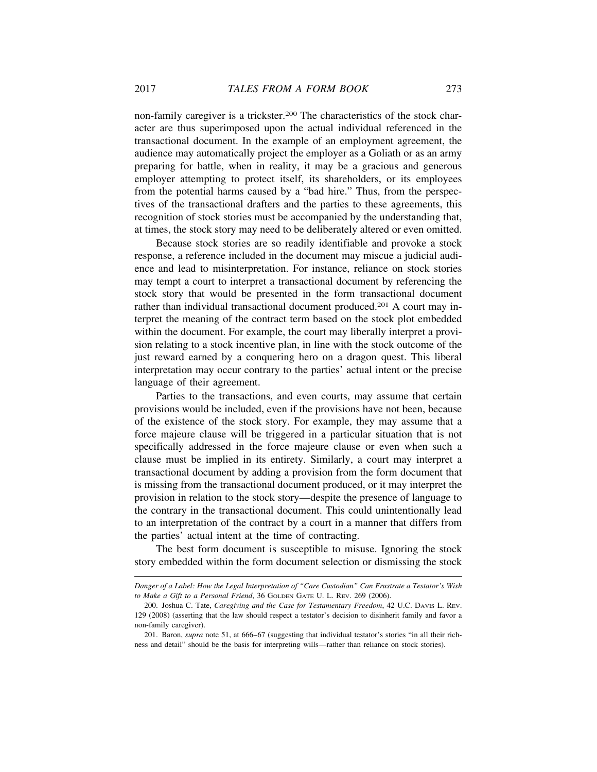non-family caregiver is a trickster.200 The characteristics of the stock character are thus superimposed upon the actual individual referenced in the transactional document. In the example of an employment agreement, the audience may automatically project the employer as a Goliath or as an army preparing for battle, when in reality, it may be a gracious and generous employer attempting to protect itself, its shareholders, or its employees from the potential harms caused by a "bad hire." Thus, from the perspectives of the transactional drafters and the parties to these agreements, this recognition of stock stories must be accompanied by the understanding that, at times, the stock story may need to be deliberately altered or even omitted.

Because stock stories are so readily identifiable and provoke a stock response, a reference included in the document may miscue a judicial audience and lead to misinterpretation. For instance, reliance on stock stories may tempt a court to interpret a transactional document by referencing the stock story that would be presented in the form transactional document rather than individual transactional document produced.201 A court may interpret the meaning of the contract term based on the stock plot embedded within the document. For example, the court may liberally interpret a provision relating to a stock incentive plan, in line with the stock outcome of the just reward earned by a conquering hero on a dragon quest. This liberal interpretation may occur contrary to the parties' actual intent or the precise language of their agreement.

Parties to the transactions, and even courts, may assume that certain provisions would be included, even if the provisions have not been, because of the existence of the stock story. For example, they may assume that a force majeure clause will be triggered in a particular situation that is not specifically addressed in the force majeure clause or even when such a clause must be implied in its entirety. Similarly, a court may interpret a transactional document by adding a provision from the form document that is missing from the transactional document produced, or it may interpret the provision in relation to the stock story—despite the presence of language to the contrary in the transactional document. This could unintentionally lead to an interpretation of the contract by a court in a manner that differs from the parties' actual intent at the time of contracting.

The best form document is susceptible to misuse. Ignoring the stock story embedded within the form document selection or dismissing the stock

*Danger of a Label: How the Legal Interpretation of "Care Custodian" Can Frustrate a Testator's Wish to Make a Gift to a Personal Friend*, 36 GOLDEN GATE U. L. REV. 269 (2006).

<sup>200.</sup> Joshua C. Tate, *Caregiving and the Case for Testamentary Freedom*, 42 U.C. DAVIS L. REV. 129 (2008) (asserting that the law should respect a testator's decision to disinherit family and favor a non-family caregiver).

<sup>201.</sup> Baron, *supra* note 51, at 666–67 (suggesting that individual testator's stories "in all their richness and detail" should be the basis for interpreting wills—rather than reliance on stock stories).